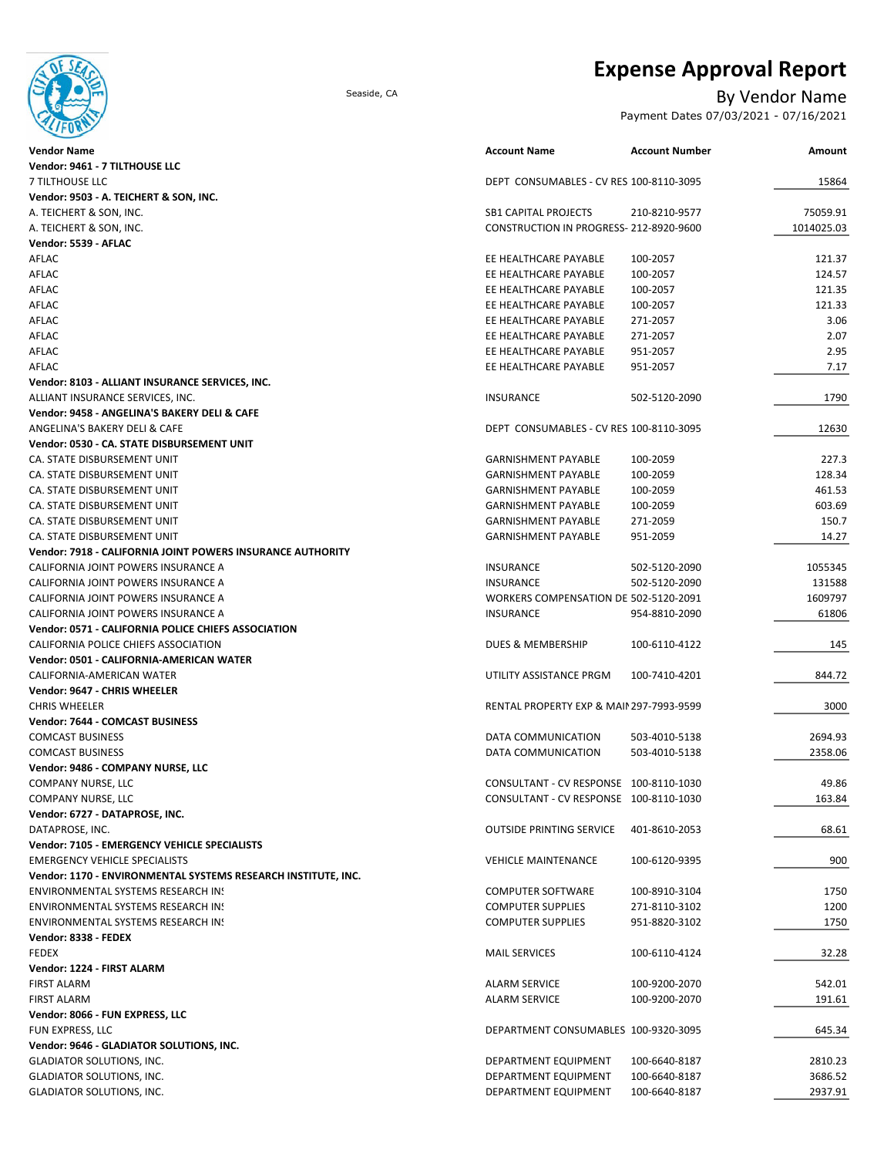

## **Expense Approval Report**

### Seaside, CA By Vendor Name

Payment Dates 07/03/2021 - 07/16/2021

| <b>Vendor Name</b>                                                                                  | <b>Account Name</b>                                  | <b>Account Number</b> | Amount     |
|-----------------------------------------------------------------------------------------------------|------------------------------------------------------|-----------------------|------------|
| Vendor: 9461 - 7 TILTHOUSE LLC                                                                      |                                                      |                       |            |
| 7 TILTHOUSE LLC                                                                                     | DEPT CONSUMABLES - CV RES 100-8110-3095              |                       | 15864      |
| Vendor: 9503 - A. TEICHERT & SON, INC.                                                              |                                                      |                       |            |
| A. TEICHERT & SON, INC.                                                                             | <b>SB1 CAPITAL PROJECTS</b>                          | 210-8210-9577         | 75059.91   |
| A. TEICHERT & SON, INC.                                                                             | CONSTRUCTION IN PROGRESS-212-8920-9600               |                       | 1014025.03 |
| Vendor: 5539 - AFLAC                                                                                |                                                      |                       |            |
| AFLAC                                                                                               | EE HEALTHCARE PAYABLE                                | 100-2057              | 121.37     |
| AFLAC                                                                                               | EE HEALTHCARE PAYABLE                                | 100-2057              | 124.57     |
| AFLAC                                                                                               | EE HEALTHCARE PAYABLE                                | 100-2057              | 121.35     |
| AFLAC                                                                                               | EE HEALTHCARE PAYABLE                                | 100-2057              | 121.33     |
| AFLAC                                                                                               | EE HEALTHCARE PAYABLE                                | 271-2057              | 3.06       |
| AFLAC                                                                                               | EE HEALTHCARE PAYABLE                                | 271-2057              | 2.07       |
| AFLAC                                                                                               | EE HEALTHCARE PAYABLE                                | 951-2057              | 2.95       |
| AFLAC                                                                                               | EE HEALTHCARE PAYABLE                                | 951-2057              | 7.17       |
| Vendor: 8103 - ALLIANT INSURANCE SERVICES, INC.                                                     | <b>INSURANCE</b>                                     | 502-5120-2090         | 1790       |
| ALLIANT INSURANCE SERVICES, INC.<br>Vendor: 9458 - ANGELINA'S BAKERY DELI & CAFE                    |                                                      |                       |            |
| ANGELINA'S BAKERY DELI & CAFE                                                                       | DEPT CONSUMABLES - CV RES 100-8110-3095              |                       | 12630      |
| Vendor: 0530 - CA. STATE DISBURSEMENT UNIT                                                          |                                                      |                       |            |
| CA. STATE DISBURSEMENT UNIT                                                                         | <b>GARNISHMENT PAYABLE</b>                           | 100-2059              | 227.3      |
| CA. STATE DISBURSEMENT UNIT                                                                         | <b>GARNISHMENT PAYABLE</b>                           | 100-2059              | 128.34     |
| CA. STATE DISBURSEMENT UNIT                                                                         | <b>GARNISHMENT PAYABLE</b>                           | 100-2059              | 461.53     |
| CA. STATE DISBURSEMENT UNIT                                                                         | <b>GARNISHMENT PAYABLE</b>                           | 100-2059              | 603.69     |
| CA. STATE DISBURSEMENT UNIT                                                                         | <b>GARNISHMENT PAYABLE</b>                           | 271-2059              | 150.7      |
| CA. STATE DISBURSEMENT UNIT                                                                         | <b>GARNISHMENT PAYABLE</b>                           | 951-2059              | 14.27      |
| Vendor: 7918 - CALIFORNIA JOINT POWERS INSURANCE AUTHORITY                                          |                                                      |                       |            |
| CALIFORNIA JOINT POWERS INSURANCE A                                                                 | <b>INSURANCE</b>                                     | 502-5120-2090         | 1055345    |
| CALIFORNIA JOINT POWERS INSURANCE A                                                                 | <b>INSURANCE</b>                                     | 502-5120-2090         | 131588     |
| CALIFORNIA JOINT POWERS INSURANCE A                                                                 | WORKERS COMPENSATION DE 502-5120-2091                |                       | 1609797    |
| CALIFORNIA JOINT POWERS INSURANCE A                                                                 | INSURANCE                                            | 954-8810-2090         | 61806      |
| Vendor: 0571 - CALIFORNIA POLICE CHIEFS ASSOCIATION                                                 |                                                      |                       |            |
| CALIFORNIA POLICE CHIEFS ASSOCIATION                                                                | <b>DUES &amp; MEMBERSHIP</b>                         | 100-6110-4122         | 145        |
| Vendor: 0501 - CALIFORNIA-AMERICAN WATER                                                            |                                                      |                       |            |
| CALIFORNIA-AMERICAN WATER                                                                           | UTILITY ASSISTANCE PRGM                              | 100-7410-4201         | 844.72     |
| Vendor: 9647 - CHRIS WHEELER                                                                        |                                                      |                       |            |
| <b>CHRIS WHEELER</b>                                                                                | RENTAL PROPERTY EXP & MAIN 297-7993-9599             |                       | 3000       |
| Vendor: 7644 - COMCAST BUSINESS                                                                     |                                                      |                       |            |
| <b>COMCAST BUSINESS</b>                                                                             | DATA COMMUNICATION                                   | 503-4010-5138         | 2694.93    |
| <b>COMCAST BUSINESS</b>                                                                             | DATA COMMUNICATION                                   | 503-4010-5138         | 2358.06    |
| Vendor: 9486 - COMPANY NURSE, LLC                                                                   |                                                      |                       |            |
| <b>COMPANY NURSE, LLC</b>                                                                           | CONSULTANT - CV RESPONSE 100-8110-1030               |                       | 49.86      |
| COMPANY NURSE, LLC                                                                                  | CONSULTANT - CV RESPONSE 100-8110-1030               |                       | 163.84     |
| Vendor: 6727 - DATAPROSE, INC.                                                                      |                                                      |                       |            |
| DATAPROSE, INC.                                                                                     | <b>OUTSIDE PRINTING SERVICE</b>                      | 401-8610-2053         | 68.61      |
| Vendor: 7105 - EMERGENCY VEHICLE SPECIALISTS                                                        |                                                      |                       |            |
| <b>EMERGENCY VEHICLE SPECIALISTS</b>                                                                | <b>VEHICLE MAINTENANCE</b>                           | 100-6120-9395         | 900        |
| Vendor: 1170 - ENVIRONMENTAL SYSTEMS RESEARCH INSTITUTE, INC.<br>ENVIRONMENTAL SYSTEMS RESEARCH IN! |                                                      | 100-8910-3104         | 1750       |
| ENVIRONMENTAL SYSTEMS RESEARCH IN!                                                                  | <b>COMPUTER SOFTWARE</b><br><b>COMPUTER SUPPLIES</b> | 271-8110-3102         | 1200       |
| ENVIRONMENTAL SYSTEMS RESEARCH IN!                                                                  | <b>COMPUTER SUPPLIES</b>                             | 951-8820-3102         | 1750       |
| Vendor: 8338 - FEDEX                                                                                |                                                      |                       |            |
| <b>FEDEX</b>                                                                                        | <b>MAIL SERVICES</b>                                 | 100-6110-4124         | 32.28      |
| Vendor: 1224 - FIRST ALARM                                                                          |                                                      |                       |            |
| <b>FIRST ALARM</b>                                                                                  | <b>ALARM SERVICE</b>                                 | 100-9200-2070         | 542.01     |
| <b>FIRST ALARM</b>                                                                                  | <b>ALARM SERVICE</b>                                 | 100-9200-2070         | 191.61     |
| Vendor: 8066 - FUN EXPRESS, LLC                                                                     |                                                      |                       |            |
| FUN EXPRESS, LLC                                                                                    | DEPARTMENT CONSUMABLES 100-9320-3095                 |                       | 645.34     |
| Vendor: 9646 - GLADIATOR SOLUTIONS, INC.                                                            |                                                      |                       |            |
| <b>GLADIATOR SOLUTIONS, INC.</b>                                                                    | DEPARTMENT EQUIPMENT                                 | 100-6640-8187         | 2810.23    |
| <b>GLADIATOR SOLUTIONS, INC.</b>                                                                    | DEPARTMENT EQUIPMENT                                 | 100-6640-8187         | 3686.52    |
| <b>GLADIATOR SOLUTIONS, INC.</b>                                                                    | DEPARTMENT EQUIPMENT                                 | 100-6640-8187         | 2937.91    |
|                                                                                                     |                                                      |                       |            |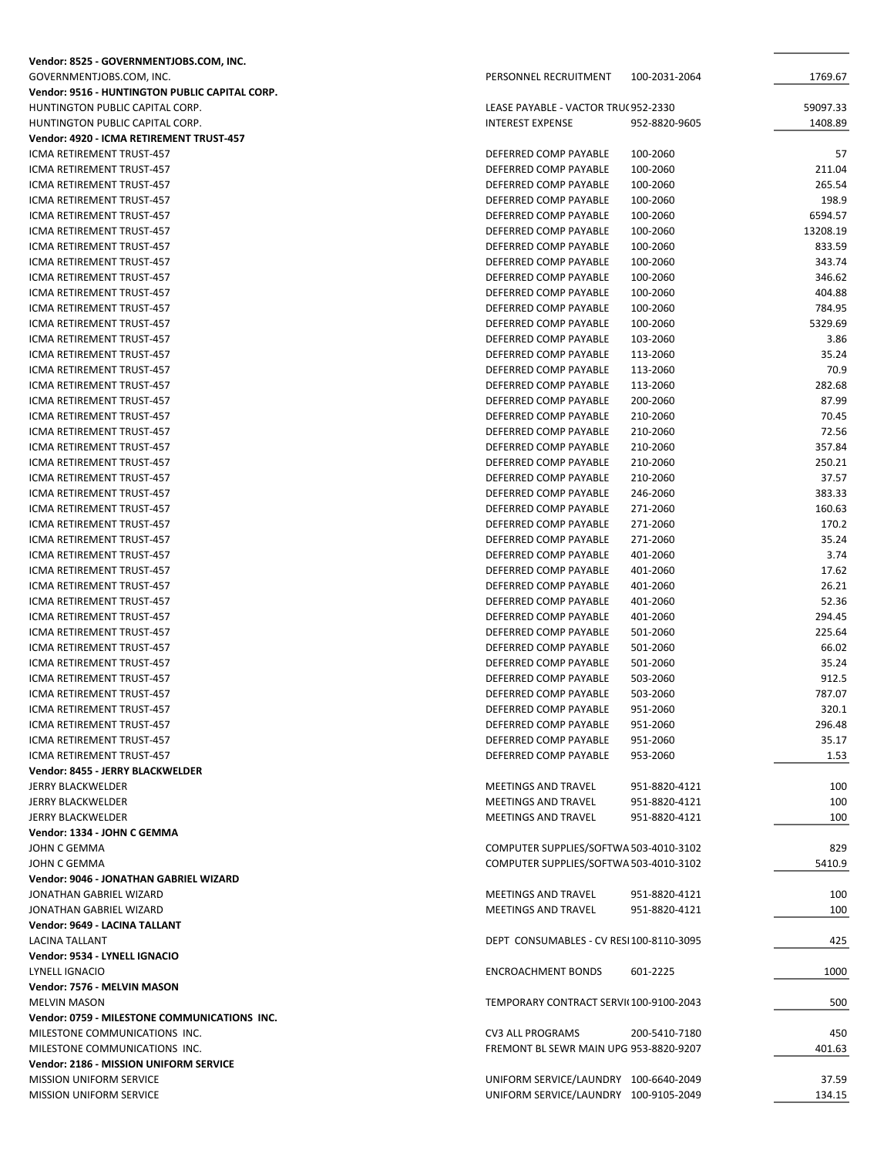| Vendor: 8525 - GOVERNMENTJOBS.COM, INC.        |                                             |                 |
|------------------------------------------------|---------------------------------------------|-----------------|
| GOVERNMENTJOBS.COM, INC.                       | PERSONNEL RECRUITMENT<br>100-2031-2064      | 1769.67         |
| Vendor: 9516 - HUNTINGTON PUBLIC CAPITAL CORP. |                                             |                 |
| HUNTINGTON PUBLIC CAPITAL CORP.                | LEASE PAYABLE - VACTOR TRU(952-2330         | 59097.33        |
| HUNTINGTON PUBLIC CAPITAL CORP.                | <b>INTEREST EXPENSE</b><br>952-8820-9605    | 1408.89         |
| Vendor: 4920 - ICMA RETIREMENT TRUST-457       |                                             |                 |
| ICMA RETIREMENT TRUST-457                      | DEFERRED COMP PAYABLE<br>100-2060           | 57              |
| ICMA RETIREMENT TRUST-457                      | DEFERRED COMP PAYABLE<br>100-2060           | 211.04          |
| ICMA RETIREMENT TRUST-457                      | DEFERRED COMP PAYABLE<br>100-2060           | 265.54          |
| ICMA RETIREMENT TRUST-457                      | DEFERRED COMP PAYABLE<br>100-2060           | 198.9           |
| ICMA RETIREMENT TRUST-457                      | DEFERRED COMP PAYABLE<br>100-2060           | 6594.57         |
| ICMA RETIREMENT TRUST-457                      | DEFERRED COMP PAYABLE<br>100-2060           | 13208.19        |
| ICMA RETIREMENT TRUST-457                      | DEFERRED COMP PAYABLE<br>100-2060           | 833.59          |
| ICMA RETIREMENT TRUST-457                      | DEFERRED COMP PAYABLE<br>100-2060           | 343.74          |
| ICMA RETIREMENT TRUST-457                      | DEFERRED COMP PAYABLE<br>100-2060           | 346.62          |
| ICMA RETIREMENT TRUST-457                      | DEFERRED COMP PAYABLE<br>100-2060           | 404.88          |
| ICMA RETIREMENT TRUST-457                      | DEFERRED COMP PAYABLE<br>100-2060           | 784.95          |
| ICMA RETIREMENT TRUST-457                      | 100-2060<br>DEFERRED COMP PAYABLE           | 5329.69         |
| ICMA RETIREMENT TRUST-457                      | DEFERRED COMP PAYABLE<br>103-2060           | 3.86            |
| ICMA RETIREMENT TRUST-457                      | DEFERRED COMP PAYABLE<br>113-2060           | 35.24           |
| ICMA RETIREMENT TRUST-457                      | DEFERRED COMP PAYABLE<br>113-2060           | 70.9            |
| ICMA RETIREMENT TRUST-457                      | DEFERRED COMP PAYABLE<br>113-2060           | 282.68          |
| ICMA RETIREMENT TRUST-457                      | DEFERRED COMP PAYABLE<br>200-2060           | 87.99           |
| ICMA RETIREMENT TRUST-457                      | DEFERRED COMP PAYABLE<br>210-2060           | 70.45           |
| ICMA RETIREMENT TRUST-457                      | DEFERRED COMP PAYABLE<br>210-2060           | 72.56           |
| ICMA RETIREMENT TRUST-457                      | 210-2060<br>DEFERRED COMP PAYABLE           | 357.84          |
| ICMA RETIREMENT TRUST-457                      | DEFERRED COMP PAYABLE<br>210-2060           | 250.21          |
| ICMA RETIREMENT TRUST-457                      | DEFERRED COMP PAYABLE<br>210-2060           | 37.57           |
| ICMA RETIREMENT TRUST-457                      | 246-2060<br>DEFERRED COMP PAYABLE           | 383.33          |
| ICMA RETIREMENT TRUST-457                      | 271-2060<br>DEFERRED COMP PAYABLE           | 160.63          |
| ICMA RETIREMENT TRUST-457                      | DEFERRED COMP PAYABLE<br>271-2060           | 170.2           |
| ICMA RETIREMENT TRUST-457                      | DEFERRED COMP PAYABLE<br>271-2060           | 35.24           |
| ICMA RETIREMENT TRUST-457                      | DEFERRED COMP PAYABLE<br>401-2060           | 3.74            |
| ICMA RETIREMENT TRUST-457                      | DEFERRED COMP PAYABLE<br>401-2060           | 17.62           |
| ICMA RETIREMENT TRUST-457                      | 401-2060<br>DEFERRED COMP PAYABLE           | 26.21           |
| ICMA RETIREMENT TRUST-457                      | DEFERRED COMP PAYABLE<br>401-2060           | 52.36           |
| ICMA RETIREMENT TRUST-457                      | DEFERRED COMP PAYABLE<br>401-2060           | 294.45          |
| ICMA RETIREMENT TRUST-457                      | DEFERRED COMP PAYABLE<br>501-2060           | 225.64          |
| ICMA RETIREMENT TRUST-457                      | DEFERRED COMP PAYABLE<br>501-2060           | 66.02           |
| ICMA RETIREMENT TRUST-457                      | DEFERRED COMP PAYABLE                       | 35.24           |
| <b>ICMA RETIREMENT TRUST-457</b>               | 501-2060<br>DEFERRED COMP PAYABLE           | 912.5           |
|                                                | 503-2060<br>DEFERRED COMP PAYABLE           |                 |
| ICMA RETIREMENT TRUST-457                      | 503-2060                                    | 787.07<br>320.1 |
| ICMA RETIREMENT TRUST-457                      | 951-2060<br>DEFERRED COMP PAYABLE           |                 |
| ICMA RETIREMENT TRUST-457                      | DEFERRED COMP PAYABLE<br>951-2060           | 296.48          |
| ICMA RETIREMENT TRUST-457                      | DEFERRED COMP PAYABLE<br>951-2060           | 35.17           |
| ICMA RETIREMENT TRUST-457                      | DEFERRED COMP PAYABLE<br>953-2060           | 1.53            |
| Vendor: 8455 - JERRY BLACKWELDER               |                                             |                 |
| <b>JERRY BLACKWELDER</b>                       | <b>MEETINGS AND TRAVEL</b><br>951-8820-4121 | 100             |
| <b>JERRY BLACKWELDER</b>                       | <b>MEETINGS AND TRAVEL</b><br>951-8820-4121 | 100             |
| <b>JERRY BLACKWELDER</b>                       | MEETINGS AND TRAVEL<br>951-8820-4121        | 100             |
| Vendor: 1334 - JOHN C GEMMA                    |                                             |                 |
| JOHN C GEMMA                                   | COMPUTER SUPPLIES/SOFTWA 503-4010-3102      | 829             |
| JOHN C GEMMA                                   | COMPUTER SUPPLIES/SOFTWA 503-4010-3102      | 5410.9          |
| Vendor: 9046 - JONATHAN GABRIEL WIZARD         |                                             |                 |
| JONATHAN GABRIEL WIZARD                        | <b>MEETINGS AND TRAVEL</b><br>951-8820-4121 | 100             |
| JONATHAN GABRIEL WIZARD                        | <b>MEETINGS AND TRAVEL</b><br>951-8820-4121 | 100             |
| Vendor: 9649 - LACINA TALLANT                  |                                             |                 |
| LACINA TALLANT                                 | DEPT CONSUMABLES - CV RESI 100-8110-3095    | 425             |
| Vendor: 9534 - LYNELL IGNACIO                  |                                             |                 |
| LYNELL IGNACIO                                 | <b>ENCROACHMENT BONDS</b><br>601-2225       | 1000            |
| Vendor: 7576 - MELVIN MASON                    |                                             |                 |
| <b>MELVIN MASON</b>                            | TEMPORARY CONTRACT SERVI(100-9100-2043      | 500             |
| Vendor: 0759 - MILESTONE COMMUNICATIONS INC.   |                                             |                 |
| MILESTONE COMMUNICATIONS INC.                  | <b>CV3 ALL PROGRAMS</b><br>200-5410-7180    | 450             |
| MILESTONE COMMUNICATIONS INC.                  | FREMONT BL SEWR MAIN UPG 953-8820-9207      | 401.63          |
| Vendor: 2186 - MISSION UNIFORM SERVICE         |                                             |                 |
| MISSION UNIFORM SERVICE                        | UNIFORM SERVICE/LAUNDRY 100-6640-2049       | 37.59           |
| <b>MISSION UNIFORM SERVICE</b>                 | UNIFORM SERVICE/LAUNDRY 100-9105-2049       | 134.15          |
|                                                |                                             |                 |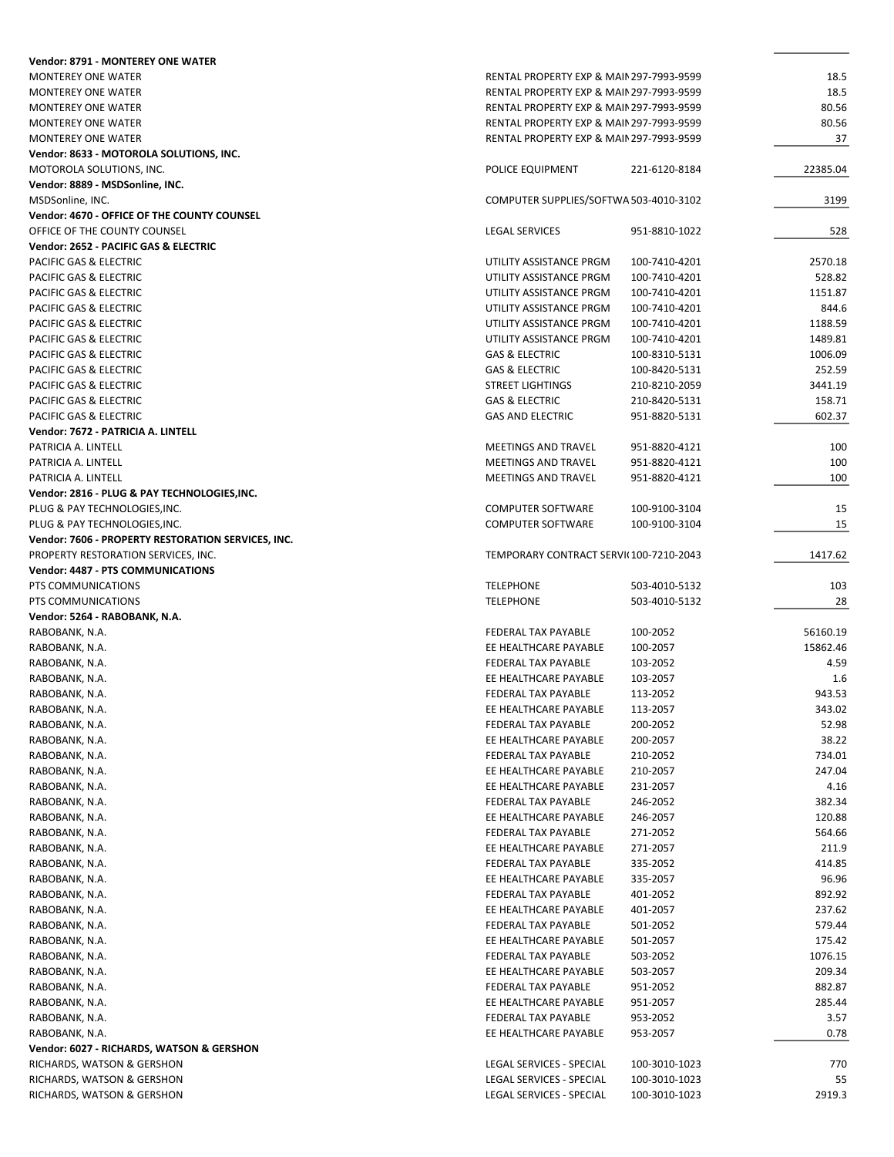| <b>Vendor: 8791 - MONTEREY ONE WATER</b>                 |                                                      |                                |              |
|----------------------------------------------------------|------------------------------------------------------|--------------------------------|--------------|
| <b>MONTEREY ONE WATER</b>                                | RENTAL PROPERTY EXP & MAIN 297-7993-9599             |                                | 18.5         |
| <b>MONTEREY ONE WATER</b>                                | RENTAL PROPERTY EXP & MAIN 297-7993-9599             |                                | 18.5         |
| <b>MONTEREY ONE WATER</b>                                | RENTAL PROPERTY EXP & MAIN 297-7993-9599             |                                | 80.56        |
| <b>MONTEREY ONE WATER</b>                                | RENTAL PROPERTY EXP & MAIN 297-7993-9599             |                                | 80.56        |
| MONTEREY ONE WATER                                       | RENTAL PROPERTY EXP & MAIN 297-7993-9599             |                                | 37           |
| Vendor: 8633 - MOTOROLA SOLUTIONS, INC.                  |                                                      |                                |              |
| MOTOROLA SOLUTIONS, INC.                                 | POLICE EQUIPMENT                                     | 221-6120-8184                  | 22385.04     |
| Vendor: 8889 - MSDSonline, INC.                          |                                                      |                                |              |
| MSDSonline, INC.                                         | COMPUTER SUPPLIES/SOFTWA 503-4010-3102               |                                | 3199         |
| Vendor: 4670 - OFFICE OF THE COUNTY COUNSEL              |                                                      |                                |              |
| OFFICE OF THE COUNTY COUNSEL                             | <b>LEGAL SERVICES</b>                                | 951-8810-1022                  | 528          |
| Vendor: 2652 - PACIFIC GAS & ELECTRIC                    |                                                      |                                |              |
| <b>PACIFIC GAS &amp; ELECTRIC</b>                        | UTILITY ASSISTANCE PRGM                              | 100-7410-4201                  | 2570.18      |
| PACIFIC GAS & ELECTRIC                                   | UTILITY ASSISTANCE PRGM                              | 100-7410-4201                  | 528.82       |
| PACIFIC GAS & ELECTRIC                                   | UTILITY ASSISTANCE PRGM                              | 100-7410-4201                  | 1151.87      |
|                                                          |                                                      |                                | 844.6        |
| PACIFIC GAS & ELECTRIC                                   | UTILITY ASSISTANCE PRGM                              | 100-7410-4201                  |              |
| PACIFIC GAS & ELECTRIC                                   | UTILITY ASSISTANCE PRGM                              | 100-7410-4201                  | 1188.59      |
| PACIFIC GAS & ELECTRIC                                   | UTILITY ASSISTANCE PRGM                              | 100-7410-4201                  | 1489.81      |
| PACIFIC GAS & ELECTRIC                                   | <b>GAS &amp; ELECTRIC</b>                            | 100-8310-5131                  | 1006.09      |
| PACIFIC GAS & ELECTRIC                                   | <b>GAS &amp; ELECTRIC</b>                            | 100-8420-5131                  | 252.59       |
| <b>PACIFIC GAS &amp; ELECTRIC</b>                        | <b>STREET LIGHTINGS</b>                              | 210-8210-2059                  | 3441.19      |
| PACIFIC GAS & ELECTRIC                                   | <b>GAS &amp; ELECTRIC</b>                            | 210-8420-5131                  | 158.71       |
| PACIFIC GAS & ELECTRIC                                   | <b>GAS AND ELECTRIC</b>                              | 951-8820-5131                  | 602.37       |
| Vendor: 7672 - PATRICIA A. LINTELL                       |                                                      |                                |              |
| PATRICIA A. LINTELL                                      | <b>MEETINGS AND TRAVEL</b>                           | 951-8820-4121                  | 100          |
| PATRICIA A. LINTELL                                      | MEETINGS AND TRAVEL                                  | 951-8820-4121                  | 100          |
| PATRICIA A. LINTELL                                      | <b>MEETINGS AND TRAVEL</b>                           | 951-8820-4121                  | 100          |
| Vendor: 2816 - PLUG & PAY TECHNOLOGIES, INC.             |                                                      |                                |              |
| PLUG & PAY TECHNOLOGIES, INC.                            | <b>COMPUTER SOFTWARE</b>                             | 100-9100-3104                  | 15           |
| PLUG & PAY TECHNOLOGIES, INC.                            | <b>COMPUTER SOFTWARE</b>                             | 100-9100-3104                  | 15           |
| Vendor: 7606 - PROPERTY RESTORATION SERVICES, INC.       |                                                      |                                |              |
| PROPERTY RESTORATION SERVICES, INC.                      | TEMPORARY CONTRACT SERVI(100-7210-2043               |                                | 1417.62      |
| Vendor: 4487 - PTS COMMUNICATIONS                        |                                                      |                                |              |
|                                                          |                                                      |                                |              |
|                                                          |                                                      |                                |              |
| PTS COMMUNICATIONS                                       | <b>TELEPHONE</b>                                     | 503-4010-5132                  | 103          |
| PTS COMMUNICATIONS                                       | <b>TELEPHONE</b>                                     | 503-4010-5132                  | 28           |
| Vendor: 5264 - RABOBANK, N.A.                            |                                                      |                                |              |
| RABOBANK, N.A.                                           | FEDERAL TAX PAYABLE                                  | 100-2052                       | 56160.19     |
| RABOBANK, N.A.                                           | EE HEALTHCARE PAYABLE                                | 100-2057                       | 15862.46     |
| RABOBANK, N.A.                                           | FEDERAL TAX PAYABLE                                  | 103-2052                       | 4.59         |
| RABOBANK, N.A.                                           | EE HEALTHCARE PAYABLE                                | 103-2057                       | 1.6          |
| RABOBANK, N.A.                                           | <b>FEDERAL TAX PAYABLE</b>                           | 113-2052                       | 943.53       |
| RABOBANK, N.A.                                           | EE HEALTHCARE PAYABLE                                | 113-2057                       | 343.02       |
| RABOBANK, N.A.                                           | FEDERAL TAX PAYABLE                                  | 200-2052                       | 52.98        |
| RABOBANK, N.A.                                           | EE HEALTHCARE PAYABLE                                | 200-2057                       | 38.22        |
| RABOBANK, N.A.                                           | FEDERAL TAX PAYABLE                                  | 210-2052                       | 734.01       |
| RABOBANK, N.A.                                           | EE HEALTHCARE PAYABLE                                | 210-2057                       | 247.04       |
| RABOBANK, N.A.                                           | EE HEALTHCARE PAYABLE                                | 231-2057                       | 4.16         |
| RABOBANK, N.A.                                           | FEDERAL TAX PAYABLE                                  | 246-2052                       | 382.34       |
| RABOBANK, N.A.                                           | EE HEALTHCARE PAYABLE                                | 246-2057                       | 120.88       |
| RABOBANK, N.A.                                           | FEDERAL TAX PAYABLE                                  | 271-2052                       | 564.66       |
| RABOBANK, N.A.                                           | EE HEALTHCARE PAYABLE                                | 271-2057                       | 211.9        |
| RABOBANK, N.A.                                           | FEDERAL TAX PAYABLE                                  | 335-2052                       | 414.85       |
| RABOBANK, N.A.                                           | EE HEALTHCARE PAYABLE                                | 335-2057                       | 96.96        |
| RABOBANK, N.A.                                           | FEDERAL TAX PAYABLE                                  | 401-2052                       | 892.92       |
| RABOBANK, N.A.                                           | EE HEALTHCARE PAYABLE                                | 401-2057                       | 237.62       |
| RABOBANK, N.A.                                           | FEDERAL TAX PAYABLE                                  | 501-2052                       | 579.44       |
|                                                          | EE HEALTHCARE PAYABLE                                |                                | 175.42       |
| RABOBANK, N.A.<br>RABOBANK, N.A.                         | FEDERAL TAX PAYABLE                                  | 501-2057<br>503-2052           | 1076.15      |
|                                                          | EE HEALTHCARE PAYABLE                                |                                | 209.34       |
| RABOBANK, N.A.                                           |                                                      | 503-2057                       |              |
| RABOBANK, N.A.                                           | FEDERAL TAX PAYABLE                                  | 951-2052                       | 882.87       |
| RABOBANK, N.A.                                           | EE HEALTHCARE PAYABLE                                | 951-2057                       | 285.44       |
| RABOBANK, N.A.                                           | FEDERAL TAX PAYABLE                                  | 953-2052                       | 3.57         |
| RABOBANK, N.A.                                           | EE HEALTHCARE PAYABLE                                | 953-2057                       | 0.78         |
| Vendor: 6027 - RICHARDS, WATSON & GERSHON                |                                                      |                                |              |
| RICHARDS, WATSON & GERSHON                               | LEGAL SERVICES - SPECIAL                             | 100-3010-1023                  | 770          |
| RICHARDS, WATSON & GERSHON<br>RICHARDS, WATSON & GERSHON | LEGAL SERVICES - SPECIAL<br>LEGAL SERVICES - SPECIAL | 100-3010-1023<br>100-3010-1023 | 55<br>2919.3 |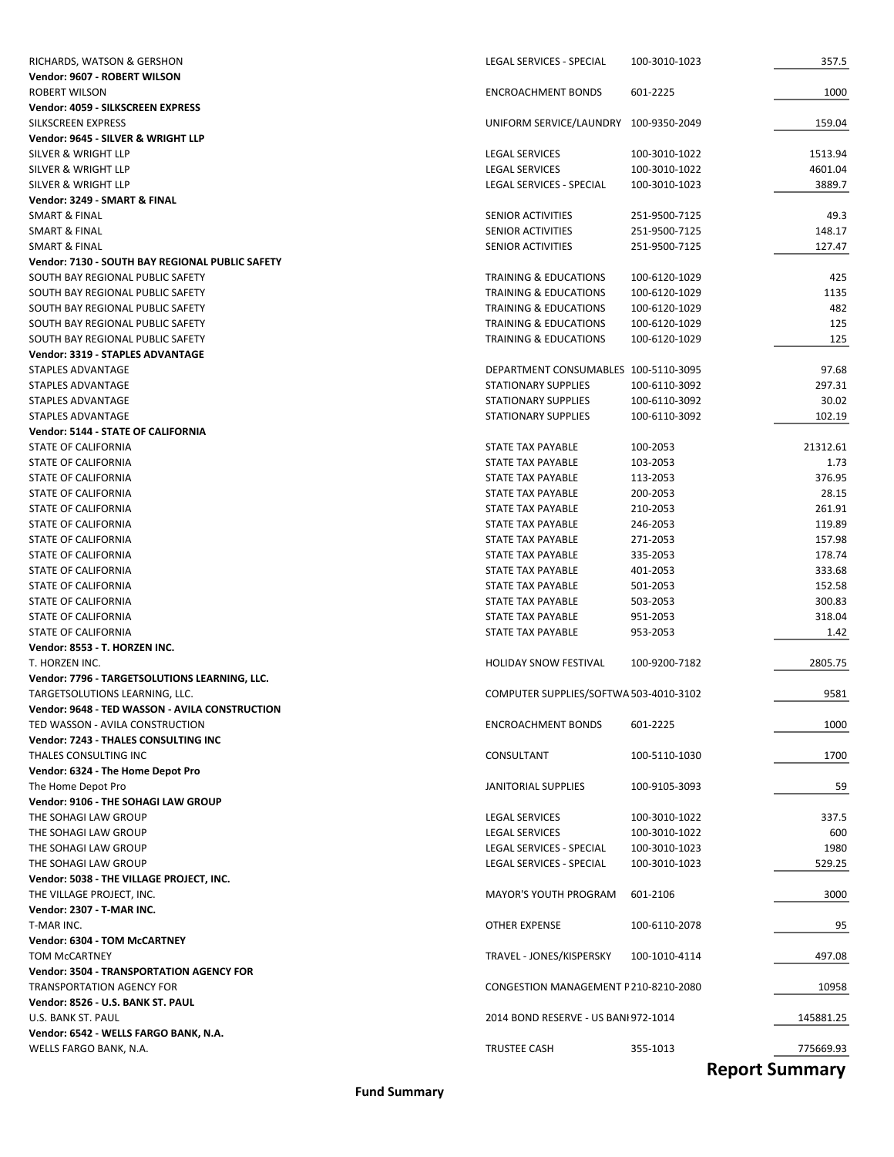| RICHARDS, WATSON & GERSHON                      | LEGAL SERVICES - SPECIAL               | 100-3010-1023         | 357.5     |
|-------------------------------------------------|----------------------------------------|-----------------------|-----------|
| Vendor: 9607 - ROBERT WILSON                    |                                        |                       |           |
| ROBERT WILSON                                   | <b>ENCROACHMENT BONDS</b>              | 601-2225              | 1000      |
| Vendor: 4059 - SILKSCREEN EXPRESS               |                                        |                       |           |
| SILKSCREEN EXPRESS                              | UNIFORM SERVICE/LAUNDRY 100-9350-2049  |                       | 159.04    |
| Vendor: 9645 - SILVER & WRIGHT LLP              |                                        |                       |           |
| SILVER & WRIGHT LLP                             | LEGAL SERVICES                         | 100-3010-1022         | 1513.94   |
| SILVER & WRIGHT LLP                             | <b>LEGAL SERVICES</b>                  | 100-3010-1022         | 4601.04   |
| SILVER & WRIGHT LLP                             | LEGAL SERVICES - SPECIAL               | 100-3010-1023         | 3889.7    |
| Vendor: 3249 - SMART & FINAL                    |                                        |                       |           |
| <b>SMART &amp; FINAL</b>                        | SENIOR ACTIVITIES                      | 251-9500-7125         | 49.3      |
| <b>SMART &amp; FINAL</b>                        | SENIOR ACTIVITIES                      | 251-9500-7125         | 148.17    |
| SMART & FINAL                                   | SENIOR ACTIVITIES                      | 251-9500-7125         | 127.47    |
| Vendor: 7130 - SOUTH BAY REGIONAL PUBLIC SAFETY |                                        |                       |           |
| SOUTH BAY REGIONAL PUBLIC SAFETY                | TRAINING & EDUCATIONS                  | 100-6120-1029         | 425       |
| SOUTH BAY REGIONAL PUBLIC SAFETY                | TRAINING & EDUCATIONS                  | 100-6120-1029         | 1135      |
| SOUTH BAY REGIONAL PUBLIC SAFETY                | TRAINING & EDUCATIONS                  | 100-6120-1029         | 482       |
| SOUTH BAY REGIONAL PUBLIC SAFETY                | <b>TRAINING &amp; EDUCATIONS</b>       | 100-6120-1029         | 125       |
| SOUTH BAY REGIONAL PUBLIC SAFETY                | <b>TRAINING &amp; EDUCATIONS</b>       | 100-6120-1029         | 125       |
| Vendor: 3319 - STAPLES ADVANTAGE                |                                        |                       |           |
| STAPLES ADVANTAGE                               | DEPARTMENT CONSUMABLES 100-5110-3095   |                       | 97.68     |
| <b>STAPLES ADVANTAGE</b>                        | <b>STATIONARY SUPPLIES</b>             | 100-6110-3092         | 297.31    |
| STAPLES ADVANTAGE                               | <b>STATIONARY SUPPLIES</b>             | 100-6110-3092         | 30.02     |
| STAPLES ADVANTAGE                               | <b>STATIONARY SUPPLIES</b>             | 100-6110-3092         | 102.19    |
| Vendor: 5144 - STATE OF CALIFORNIA              |                                        |                       |           |
| STATE OF CALIFORNIA                             | STATE TAX PAYABLE                      | 100-2053              | 21312.61  |
| STATE OF CALIFORNIA                             | STATE TAX PAYABLE                      | 103-2053              | 1.73      |
| STATE OF CALIFORNIA                             | STATE TAX PAYABLE                      | 113-2053              | 376.95    |
| STATE OF CALIFORNIA                             | STATE TAX PAYABLE                      | 200-2053              | 28.15     |
| STATE OF CALIFORNIA                             | STATE TAX PAYABLE                      | 210-2053              | 261.91    |
| STATE OF CALIFORNIA                             | STATE TAX PAYABLE                      | 246-2053              | 119.89    |
| STATE OF CALIFORNIA                             | STATE TAX PAYABLE                      | 271-2053              | 157.98    |
| STATE OF CALIFORNIA                             | STATE TAX PAYABLE                      | 335-2053              | 178.74    |
| STATE OF CALIFORNIA                             | STATE TAX PAYABLE                      | 401-2053              | 333.68    |
| STATE OF CALIFORNIA                             | STATE TAX PAYABLE                      | 501-2053              | 152.58    |
| STATE OF CALIFORNIA                             | STATE TAX PAYABLE                      | 503-2053              | 300.83    |
| STATE OF CALIFORNIA                             | STATE TAX PAYABLE                      | 951-2053              | 318.04    |
| STATE OF CALIFORNIA                             | STATE TAX PAYABLE                      | 953-2053              | 1.42      |
| Vendor: 8553 - T. HORZEN INC.                   |                                        |                       |           |
| T. HORZEN INC.                                  | <b>HOLIDAY SNOW FESTIVAL</b>           | 100-9200-7182         | 2805.75   |
| Vendor: 7796 - TARGETSOLUTIONS LEARNING, LLC.   |                                        |                       |           |
| TARGETSOLUTIONS LEARNING, LLC.                  | COMPUTER SUPPLIES/SOFTWA 503-4010-3102 |                       | 9581      |
| Vendor: 9648 - TED WASSON - AVILA CONSTRUCTION  |                                        |                       |           |
| TED WASSON - AVILA CONSTRUCTION                 | <b>ENCROACHMENT BONDS</b>              | 601-2225              | 1000      |
| Vendor: 7243 - THALES CONSULTING INC            |                                        |                       |           |
|                                                 |                                        |                       |           |
| THALES CONSULTING INC                           | CONSULTANT                             | 100-5110-1030         | 1700      |
| Vendor: 6324 - The Home Depot Pro               |                                        |                       |           |
| The Home Depot Pro                              | <b>JANITORIAL SUPPLIES</b>             | 100-9105-3093         | 59        |
| Vendor: 9106 - THE SOHAGI LAW GROUP             |                                        |                       |           |
| THE SOHAGI LAW GROUP                            | LEGAL SERVICES                         | 100-3010-1022         | 337.5     |
| THE SOHAGI LAW GROUP                            | <b>LEGAL SERVICES</b>                  | 100-3010-1022         | 600       |
| THE SOHAGI LAW GROUP                            | LEGAL SERVICES - SPECIAL               | 100-3010-1023         | 1980      |
| THE SOHAGI LAW GROUP                            | LEGAL SERVICES - SPECIAL               | 100-3010-1023         | 529.25    |
| Vendor: 5038 - THE VILLAGE PROJECT, INC.        |                                        |                       |           |
| THE VILLAGE PROJECT, INC.                       | <b>MAYOR'S YOUTH PROGRAM</b>           | 601-2106              | 3000      |
| Vendor: 2307 - T-MAR INC.                       |                                        |                       |           |
| T-MAR INC.                                      | OTHER EXPENSE                          | 100-6110-2078         | 95        |
| Vendor: 6304 - TOM McCARTNEY                    |                                        |                       |           |
| TOM McCARTNEY                                   | TRAVEL - JONES/KISPERSKY               | 100-1010-4114         | 497.08    |
| <b>Vendor: 3504 - TRANSPORTATION AGENCY FOR</b> |                                        |                       |           |
| <b>TRANSPORTATION AGENCY FOR</b>                | CONGESTION MANAGEMENT P210-8210-2080   |                       | 10958     |
| Vendor: 8526 - U.S. BANK ST. PAUL               |                                        |                       |           |
| U.S. BANK ST. PAUL                              | 2014 BOND RESERVE - US BANI 972-1014   |                       | 145881.25 |
| Vendor: 6542 - WELLS FARGO BANK, N.A.           |                                        |                       |           |
| WELLS FARGO BANK, N.A.                          | TRUSTEE CASH                           | 355-1013              | 775669.93 |
|                                                 |                                        | <b>Ronort Summary</b> |           |

**Report Summary**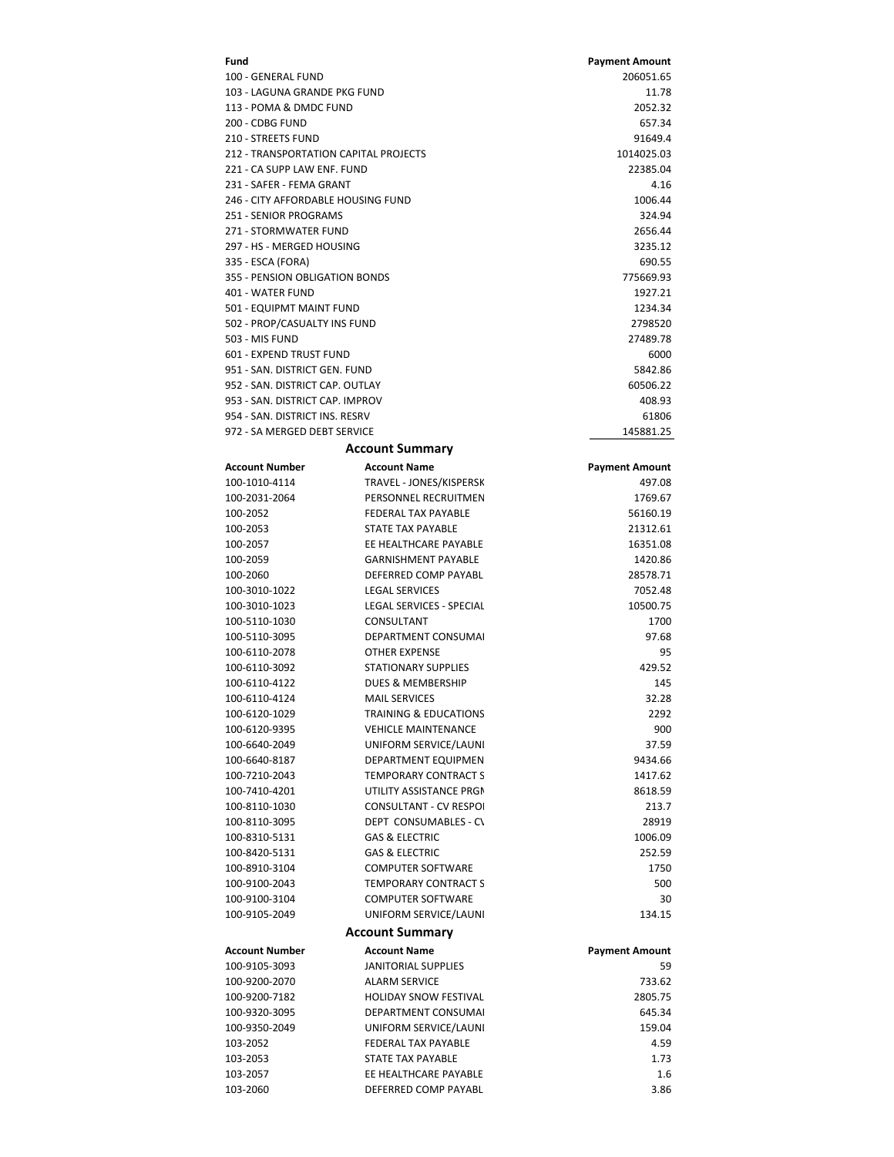| Fund                                      |                                             | <b>Payment Amount</b>       |
|-------------------------------------------|---------------------------------------------|-----------------------------|
| 100 - GENERAL FUND                        |                                             | 206051.65                   |
| 103 - LAGUNA GRANDE PKG FUND              |                                             | 11.78                       |
| 113 - POMA & DMDC FUND                    |                                             | 2052.32                     |
| 200 - CDBG FUND                           |                                             | 657.34                      |
| 210 - STREETS FUND                        |                                             | 91649.4                     |
| 212 - TRANSPORTATION CAPITAL PROJECTS     |                                             | 1014025.03                  |
| 221 - CA SUPP LAW ENF. FUND               |                                             | 22385.04                    |
| 231 - SAFER - FEMA GRANT                  |                                             | 4.16                        |
| 246 - CITY AFFORDABLE HOUSING FUND        |                                             | 1006.44                     |
| 251 - SENIOR PROGRAMS                     |                                             | 324.94                      |
| 271 - STORMWATER FUND                     |                                             | 2656.44                     |
| 297 - HS - MERGED HOUSING                 |                                             | 3235.12                     |
| 335 - ESCA (FORA)                         |                                             | 690.55                      |
| 355 - PENSION OBLIGATION BONDS            |                                             | 775669.93                   |
| <b>401 - WATER FUND</b>                   |                                             | 1927.21                     |
| 501 - EQUIPMT MAINT FUND                  |                                             | 1234.34                     |
| 502 - PROP/CASUALTY INS FUND              |                                             | 2798520                     |
| 503 - MIS FUND<br>601 - EXPEND TRUST FUND |                                             | 27489.78                    |
| 951 - SAN, DISTRICT GEN, FUND             |                                             | 6000<br>5842.86             |
| 952 - SAN, DISTRICT CAP, OUTLAY           |                                             | 60506.22                    |
| 953 - SAN, DISTRICT CAP, IMPROV           |                                             | 408.93                      |
| 954 - SAN, DISTRICT INS, RESRV            |                                             | 61806                       |
| 972 - SA MERGED DEBT SERVICE              |                                             | 145881.25                   |
|                                           |                                             |                             |
|                                           | <b>Account Summary</b>                      |                             |
| <b>Account Number</b>                     | <b>Account Name</b>                         | <b>Payment Amount</b>       |
| 100-1010-4114                             | TRAVEL - JONES/KISPERSK                     | 497.08                      |
| 100-2031-2064                             | PERSONNEL RECRUITMEN                        | 1769.67                     |
| 100-2052                                  | <b>FEDERAL TAX PAYABLE</b>                  | 56160.19                    |
| 100-2053                                  | STATE TAX PAYABLE                           | 21312.61                    |
| 100-2057                                  | EE HEALTHCARE PAYABLE                       | 16351.08                    |
| 100-2059                                  | <b>GARNISHMENT PAYABLE</b>                  | 1420.86                     |
| 100-2060                                  | DEFERRED COMP PAYABL                        | 28578.71                    |
| 100-3010-1022                             | <b>LEGAL SERVICES</b>                       | 7052.48                     |
| 100-3010-1023                             | LEGAL SERVICES - SPECIAL                    | 10500.75                    |
| 100-5110-1030                             | CONSULTANT                                  | 1700                        |
| 100-5110-3095<br>100-6110-2078            | DEPARTMENT CONSUMAL<br><b>OTHER EXPENSE</b> | 97.68                       |
| 100-6110-3092                             | STATIONARY SUPPLIES                         | 95<br>429.52                |
| 100-6110-4122                             | DUES & MEMBERSHIP                           | 145                         |
| 100-6110-4124                             | <b>MAIL SERVICES</b>                        | 32.28                       |
| 100-6120-1029                             | <b>TRAINING &amp; EDUCATIONS</b>            | 2292                        |
| 100-6120-9395                             | <b>VEHICLE MAINTENANCE</b>                  | 900                         |
| 100-6640-2049                             | UNIFORM SERVICE/LAUNI                       | 37.59                       |
| 100-6640-8187                             | <b>DEPARTMENT EQUIPMEN</b>                  | 9434.66                     |
| 100-7210-2043                             | <b>TEMPORARY CONTRACT S</b>                 | 1417.62                     |
| 100-7410-4201                             | UTILITY ASSISTANCE PRGM                     | 8618.59                     |
| 100-8110-1030                             | <b>CONSULTANT - CV RESPOI</b>               | 213.7                       |
| 100-8110-3095                             | DEPT CONSUMABLES - C\                       | 28919                       |
| 100-8310-5131                             | <b>GAS &amp; ELECTRIC</b>                   | 1006.09                     |
| 100-8420-5131                             | <b>GAS &amp; ELECTRIC</b>                   | 252.59                      |
| 100-8910-3104                             | <b>COMPUTER SOFTWARE</b>                    | 1750                        |
| 100-9100-2043                             | <b>TEMPORARY CONTRACT S</b>                 | 500                         |
| 100-9100-3104                             | <b>COMPUTER SOFTWARE</b>                    | 30                          |
| 100-9105-2049                             | UNIFORM SERVICE/LAUNI                       | 134.15                      |
|                                           | <b>Account Summary</b>                      |                             |
|                                           |                                             |                             |
| <b>Account Number</b><br>100-9105-3093    | <b>Account Name</b><br>JANITORIAL SUPPLIES  | <b>Payment Amount</b><br>59 |
| 100-9200-2070                             | <b>ALARM SERVICE</b>                        | 733.62                      |
| 100-9200-7182                             | <b>HOLIDAY SNOW FESTIVAL</b>                | 2805.75                     |
| 100-9320-3095                             | DEPARTMENT CONSUMAL                         | 645.34                      |
| 100-9350-2049                             | UNIFORM SERVICE/LAUNI                       | 159.04                      |
| 103-2052                                  | FEDERAL TAX PAYABLE                         | 4.59                        |
| 103-2053                                  | STATE TAX PAYABLE                           | 1.73                        |
| 103-2057                                  | EE HEALTHCARE PAYABLE                       | 1.6                         |
| 103-2060                                  | DEFERRED COMP PAYABL                        | 3.86                        |
|                                           |                                             |                             |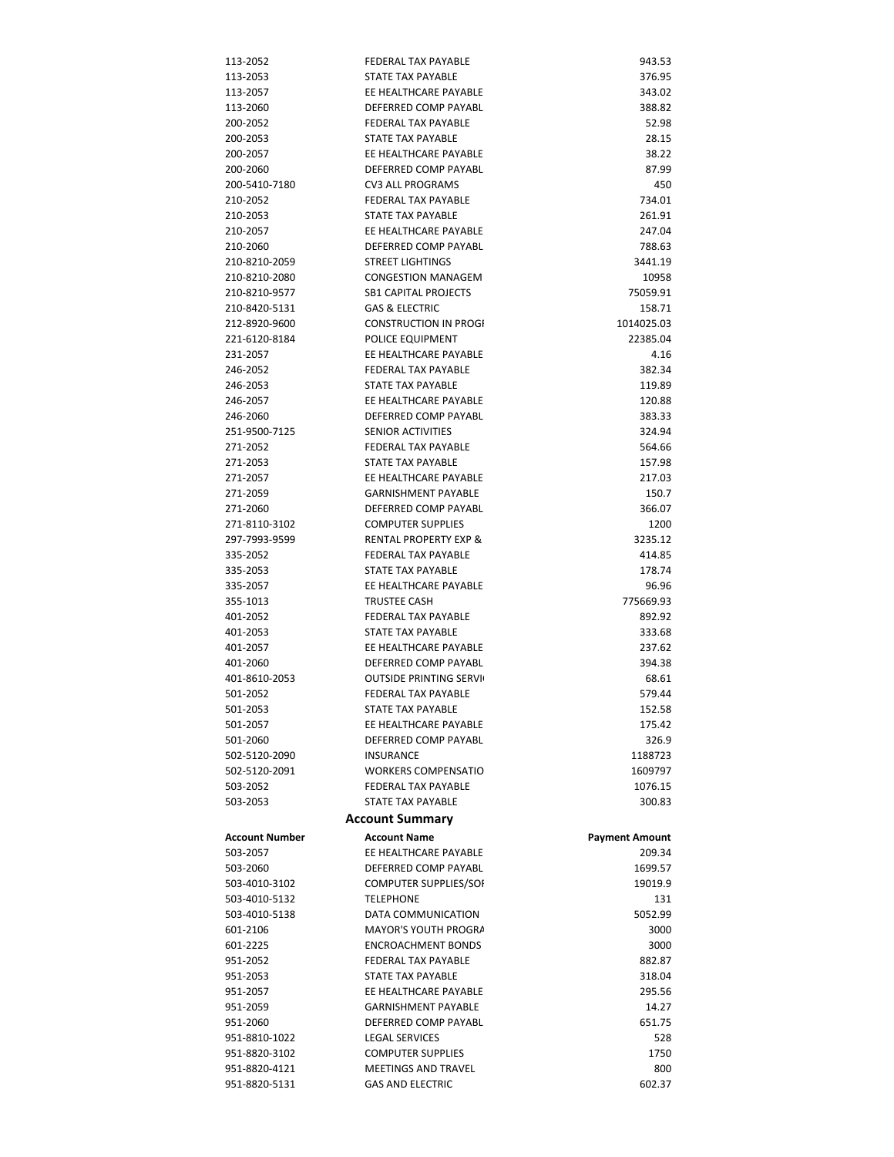| 113-2052              | <b>FEDERAL TAX PAYABLE</b>       | 943.53                |
|-----------------------|----------------------------------|-----------------------|
|                       |                                  |                       |
| 113-2053              | STATE TAX PAYABLE                | 376.95                |
| 113-2057              | EE HEALTHCARE PAYABLE            | 343.02                |
| 113-2060              | DEFERRED COMP PAYABL             | 388.82                |
| 200-2052              | <b>FEDERAL TAX PAYABLE</b>       | 52.98                 |
| 200-2053              | STATE TAX PAYABLE                | 28.15                 |
| 200-2057              | EE HEALTHCARE PAYABLE            | 38.22                 |
| 200-2060              | DEFERRED COMP PAYABL             | 87.99                 |
| 200-5410-7180         | <b>CV3 ALL PROGRAMS</b>          | 450                   |
| 210-2052              | <b>FEDERAL TAX PAYABLE</b>       | 734.01                |
| 210-2053              | STATE TAX PAYABLE                | 261.91                |
| 210-2057              | EE HEALTHCARE PAYABLE            | 247.04                |
| 210-2060              | DEFERRED COMP PAYABL             | 788.63                |
| 210-8210-2059         | <b>STREET LIGHTINGS</b>          | 3441.19               |
| 210-8210-2080         | <b>CONGESTION MANAGEM</b>        | 10958                 |
| 210-8210-9577         | <b>SB1 CAPITAL PROJECTS</b>      | 75059.91              |
| 210-8420-5131         | <b>GAS &amp; ELECTRIC</b>        | 158.71                |
| 212-8920-9600         | <b>CONSTRUCTION IN PROGI</b>     | 1014025.03            |
| 221-6120-8184         | POLICE EQUIPMENT                 | 22385.04              |
| 231-2057              | EE HEALTHCARE PAYABLE            | 4.16                  |
| 246-2052              | <b>FEDERAL TAX PAYABLE</b>       | 382.34                |
| 246-2053              | STATE TAX PAYABLE                | 119.89                |
| 246-2057              | EE HEALTHCARE PAYABLE            | 120.88                |
| 246-2060              | DEFERRED COMP PAYABL             | 383.33                |
|                       |                                  |                       |
| 251-9500-7125         | <b>SENIOR ACTIVITIES</b>         | 324.94                |
| 271-2052              | <b>FEDERAL TAX PAYABLE</b>       | 564.66                |
| 271-2053              | STATE TAX PAYABLE                | 157.98                |
| 271-2057              | EE HEALTHCARE PAYABLE            | 217.03                |
| 271-2059              | <b>GARNISHMENT PAYABLE</b>       | 150.7                 |
| 271-2060              | DEFERRED COMP PAYABL             | 366.07                |
| 271-8110-3102         | <b>COMPUTER SUPPLIES</b>         | 1200                  |
| 297-7993-9599         | <b>RENTAL PROPERTY EXP &amp;</b> | 3235.12               |
| 335-2052              | <b>FEDERAL TAX PAYABLE</b>       | 414.85                |
| 335-2053              | STATE TAX PAYABLE                | 178.74                |
| 335-2057              | EE HEALTHCARE PAYABLE            | 96.96                 |
| 355-1013              | <b>TRUSTEE CASH</b>              | 775669.93             |
| 401-2052              | <b>FEDERAL TAX PAYABLE</b>       | 892.92                |
| 401-2053              | STATE TAX PAYABLE                | 333.68                |
| 401-2057              | EE HEALTHCARE PAYABLE            | 237.62                |
| 401-2060              | DEFERRED COMP PAYABL             | 394.38                |
| 401-8610-2053         | <b>OUTSIDE PRINTING SERVI</b>    | 68.61                 |
| 501-2052              | <b>FEDERAL TAX PAYABLE</b>       | 579.44                |
| 501-2053              | STATE TAX PAYABLE                | 152.58                |
| 501-2057              | EE HEALTHCARE PAYABLE            | 175.42                |
| 501-2060              | DEFERRED COMP PAYABL             | 326.9                 |
| 502-5120-2090         | <b>INSURANCE</b>                 |                       |
|                       |                                  |                       |
|                       |                                  | 1188723               |
| 502-5120-2091         | <b>WORKERS COMPENSATIO</b>       | 1609797               |
| 503-2052              | <b>FEDERAL TAX PAYABLE</b>       | 1076.15               |
| 503-2053              | STATE TAX PAYABLE                | 300.83                |
|                       | <b>Account Summary</b>           |                       |
| <b>Account Number</b> | <b>Account Name</b>              | <b>Payment Amount</b> |
| 503-2057              | EE HEALTHCARE PAYABLE            | 209.34                |
| 503-2060              | DEFERRED COMP PAYABL             | 1699.57               |
| 503-4010-3102         | COMPUTER SUPPLIES/SOI            | 19019.9               |
| 503-4010-5132         | <b>TELEPHONE</b>                 | 131                   |
| 503-4010-5138         | DATA COMMUNICATION               | 5052.99               |
| 601-2106              | MAYOR'S YOUTH PROGRA             | 3000                  |
| 601-2225              | <b>ENCROACHMENT BONDS</b>        | 3000                  |
| 951-2052              | FEDERAL TAX PAYABLE              | 882.87                |
| 951-2053              | STATE TAX PAYABLE                | 318.04                |
| 951-2057              | EE HEALTHCARE PAYABLE            | 295.56                |
| 951-2059              | <b>GARNISHMENT PAYABLE</b>       | 14.27                 |
| 951-2060              | DEFERRED COMP PAYABL             | 651.75                |
| 951-8810-1022         | <b>LEGAL SERVICES</b>            | 528                   |
| 951-8820-3102         | <b>COMPUTER SUPPLIES</b>         | 1750                  |
| 951-8820-4121         | MEETINGS AND TRAVEL              | 800                   |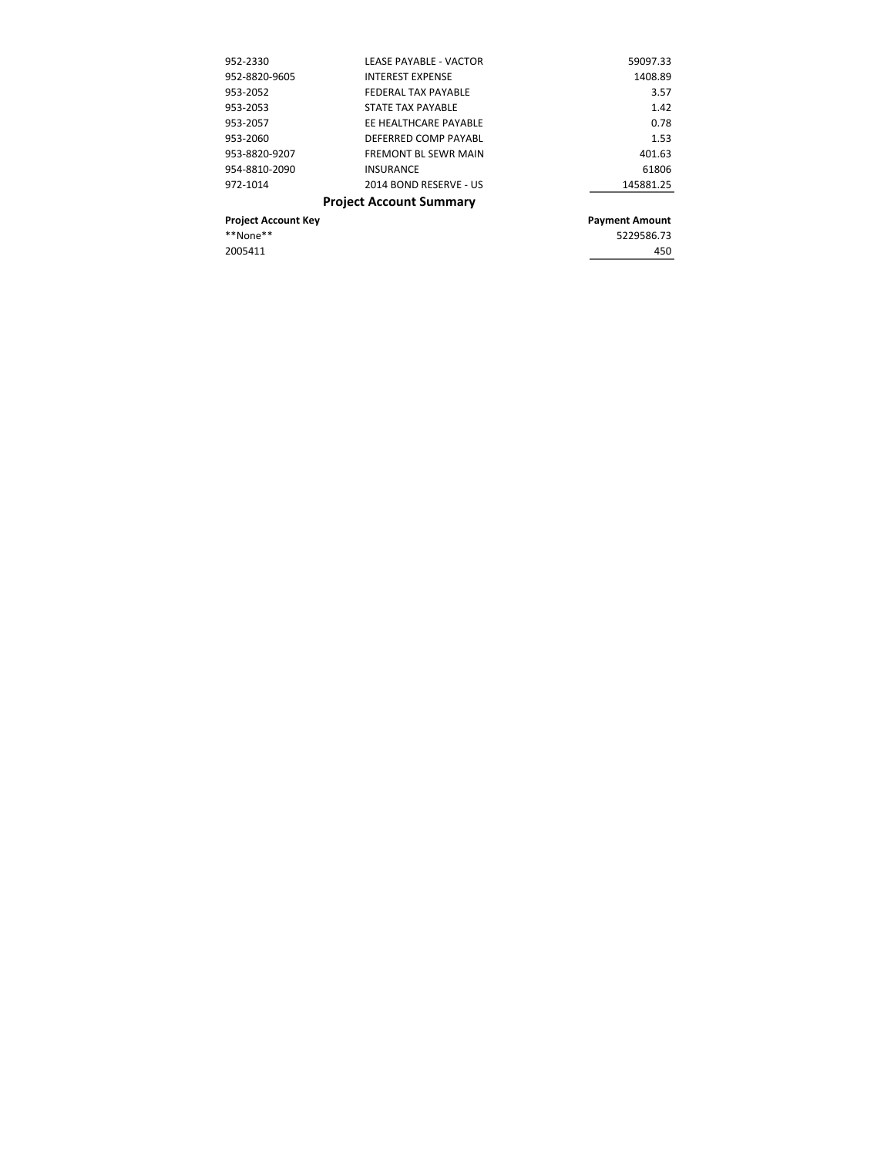| 952-2330                   | <b>LEASE PAYABLE - VACTOR</b>  | 59097.33              |
|----------------------------|--------------------------------|-----------------------|
| 952-8820-9605              | <b>INTEREST EXPENSE</b>        | 1408.89               |
| 953-2052                   | FEDERAL TAX PAYABLE            | 3.57                  |
| 953-2053                   | STATE TAX PAYABLE              | 1.42                  |
| 953-2057                   | EE HEALTHCARE PAYABLE          | 0.78                  |
| 953-2060                   | DEFERRED COMP PAYABL           | 1.53                  |
| 953-8820-9207              | <b>FREMONT BL SEWR MAIN</b>    | 401.63                |
| 954-8810-2090              | <b>INSURANCE</b>               | 61806                 |
| 972-1014                   | 2014 BOND RESERVE - US         | 145881.25             |
|                            | <b>Project Account Summary</b> |                       |
| <b>Project Account Key</b> |                                | <b>Payment Amount</b> |
| **None**                   |                                | 5229586.73            |
| 2005411                    |                                | 450                   |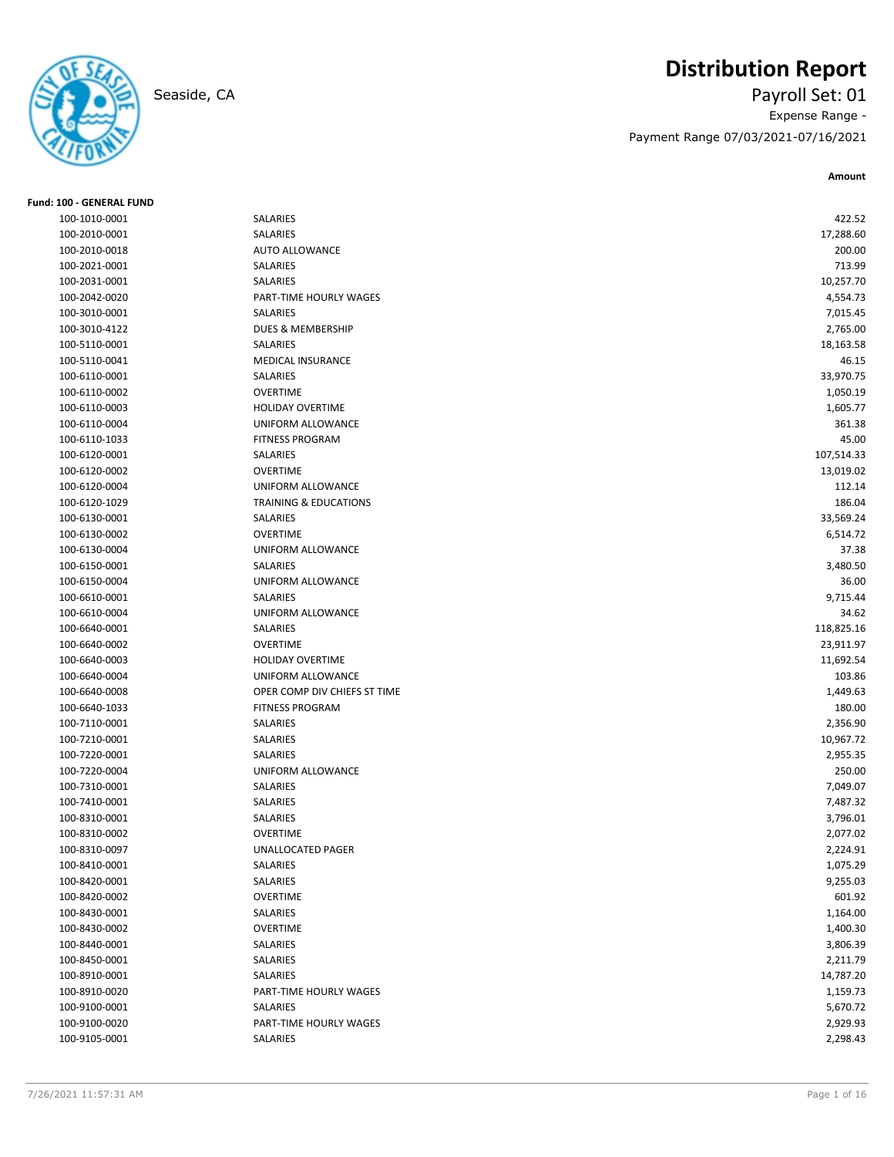

**Fund: 100 - GENERAL FUND**

# **Distribution Report**

Seaside, CA Payroll Set: 01 Expense Range -

Payment Range 07/03/2021-07/16/2021

| 100-1010-0001 | SALARIES                         | 422.52     |
|---------------|----------------------------------|------------|
| 100-2010-0001 | SALARIES                         | 17,288.60  |
| 100-2010-0018 | <b>AUTO ALLOWANCE</b>            | 200.00     |
| 100-2021-0001 | SALARIES                         | 713.99     |
| 100-2031-0001 | SALARIES                         | 10,257.70  |
| 100-2042-0020 | PART-TIME HOURLY WAGES           | 4,554.73   |
| 100-3010-0001 | <b>SALARIES</b>                  | 7,015.45   |
| 100-3010-4122 | DUES & MEMBERSHIP                | 2,765.00   |
| 100-5110-0001 | SALARIES                         | 18,163.58  |
| 100-5110-0041 | MEDICAL INSURANCE                | 46.15      |
| 100-6110-0001 | <b>SALARIES</b>                  | 33,970.75  |
| 100-6110-0002 | <b>OVERTIME</b>                  | 1,050.19   |
| 100-6110-0003 | <b>HOLIDAY OVERTIME</b>          | 1,605.77   |
| 100-6110-0004 | UNIFORM ALLOWANCE                | 361.38     |
| 100-6110-1033 | <b>FITNESS PROGRAM</b>           | 45.00      |
| 100-6120-0001 | SALARIES                         | 107,514.33 |
| 100-6120-0002 | <b>OVERTIME</b>                  | 13,019.02  |
| 100-6120-0004 | UNIFORM ALLOWANCE                | 112.14     |
| 100-6120-1029 | <b>TRAINING &amp; EDUCATIONS</b> | 186.04     |
| 100-6130-0001 | SALARIES                         | 33,569.24  |
|               |                                  |            |
| 100-6130-0002 | <b>OVERTIME</b>                  | 6,514.72   |
| 100-6130-0004 | UNIFORM ALLOWANCE                | 37.38      |
| 100-6150-0001 | SALARIES                         | 3,480.50   |
| 100-6150-0004 | UNIFORM ALLOWANCE                | 36.00      |
| 100-6610-0001 | SALARIES                         | 9,715.44   |
| 100-6610-0004 | UNIFORM ALLOWANCE                | 34.62      |
| 100-6640-0001 | SALARIES                         | 118,825.16 |
| 100-6640-0002 | <b>OVERTIME</b>                  | 23,911.97  |
| 100-6640-0003 | HOLIDAY OVERTIME                 | 11,692.54  |
| 100-6640-0004 | UNIFORM ALLOWANCE                | 103.86     |
| 100-6640-0008 | OPER COMP DIV CHIEFS ST TIME     | 1,449.63   |
| 100-6640-1033 | <b>FITNESS PROGRAM</b>           | 180.00     |
| 100-7110-0001 | SALARIES                         | 2,356.90   |
| 100-7210-0001 | SALARIES                         | 10,967.72  |
| 100-7220-0001 | SALARIES                         | 2,955.35   |
| 100-7220-0004 | UNIFORM ALLOWANCE                | 250.00     |
| 100-7310-0001 | <b>SALARIES</b>                  | 7,049.07   |
| 100-7410-0001 | SALARIES                         | 7,487.32   |
| 100-8310-0001 | SALARIES                         | 3,796.01   |
| 100-8310-0002 | <b>OVERTIME</b>                  | 2,077.02   |
| 100-8310-0097 | <b>UNALLOCATED PAGER</b>         | 2,224.91   |
| 100-8410-0001 | SALARIES                         | 1,075.29   |
| 100-8420-0001 | SALARIES                         | 9,255.03   |
| 100-8420-0002 | <b>OVERTIME</b>                  | 601.92     |
| 100-8430-0001 | SALARIES                         | 1,164.00   |
| 100-8430-0002 | OVERTIME                         | 1,400.30   |
| 100-8440-0001 | SALARIES                         | 3,806.39   |
| 100-8450-0001 | SALARIES                         | 2,211.79   |
| 100-8910-0001 | SALARIES                         | 14,787.20  |
| 100-8910-0020 | PART-TIME HOURLY WAGES           | 1,159.73   |
| 100-9100-0001 | SALARIES                         | 5,670.72   |
| 100-9100-0020 | PART-TIME HOURLY WAGES           | 2,929.93   |
| 100-9105-0001 | SALARIES                         | 2,298.43   |
|               |                                  |            |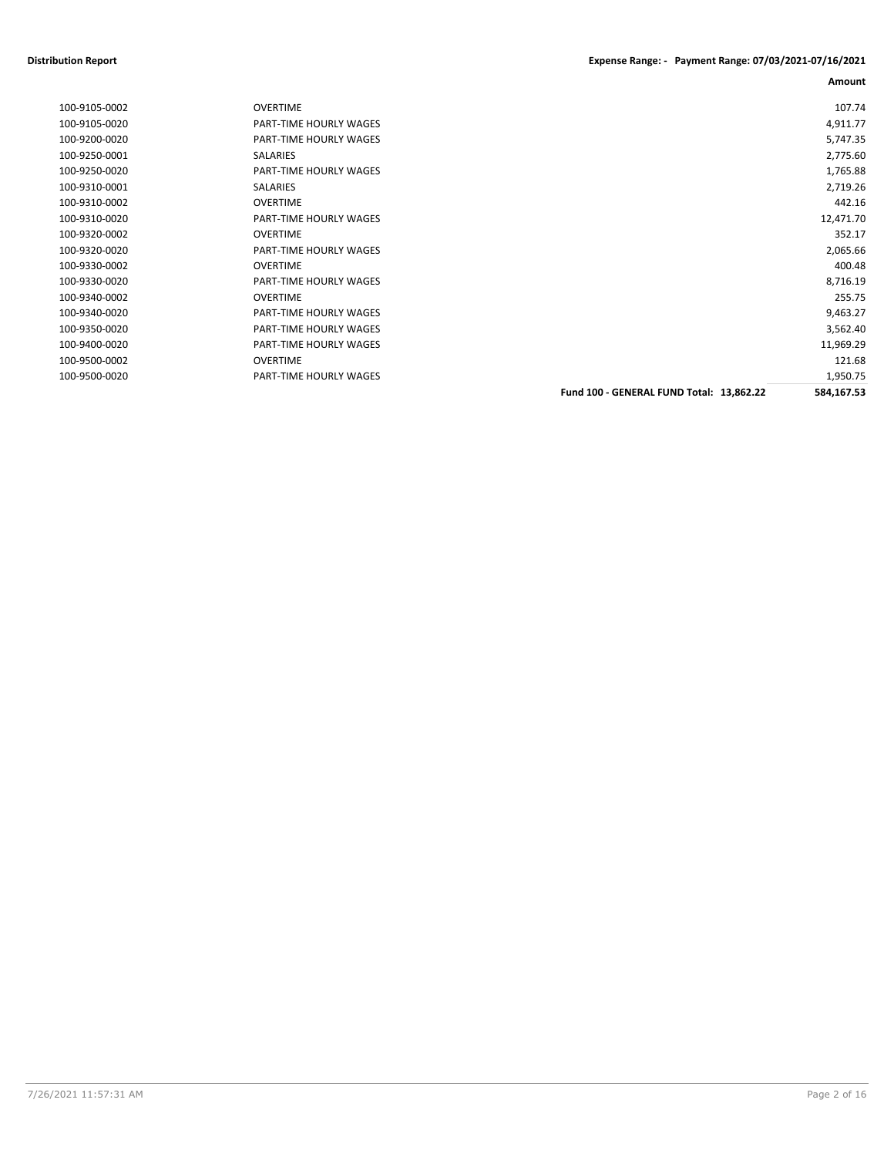| 100-9105-0002 | <b>OVERTIME</b>        |                                          | 107.74     |
|---------------|------------------------|------------------------------------------|------------|
| 100-9105-0020 | PART-TIME HOURLY WAGES |                                          | 4,911.77   |
| 100-9200-0020 | PART-TIME HOURLY WAGES |                                          | 5,747.35   |
| 100-9250-0001 | SALARIES               |                                          | 2,775.60   |
| 100-9250-0020 | PART-TIME HOURLY WAGES |                                          | 1,765.88   |
| 100-9310-0001 | <b>SALARIES</b>        |                                          | 2,719.26   |
| 100-9310-0002 | <b>OVERTIME</b>        |                                          | 442.16     |
| 100-9310-0020 | PART-TIME HOURLY WAGES |                                          | 12,471.70  |
| 100-9320-0002 | <b>OVERTIME</b>        |                                          | 352.17     |
| 100-9320-0020 | PART-TIME HOURLY WAGES |                                          | 2,065.66   |
| 100-9330-0002 | <b>OVERTIME</b>        |                                          | 400.48     |
| 100-9330-0020 | PART-TIME HOURLY WAGES |                                          | 8,716.19   |
| 100-9340-0002 | <b>OVERTIME</b>        |                                          | 255.75     |
| 100-9340-0020 | PART-TIME HOURLY WAGES |                                          | 9,463.27   |
| 100-9350-0020 | PART-TIME HOURLY WAGES |                                          | 3,562.40   |
| 100-9400-0020 | PART-TIME HOURLY WAGES |                                          | 11,969.29  |
| 100-9500-0002 | <b>OVERTIME</b>        |                                          | 121.68     |
| 100-9500-0020 | PART-TIME HOURLY WAGES |                                          | 1,950.75   |
|               |                        | Fund 100 - GENERAL FUND Total: 13,862.22 | 584,167.53 |
|               |                        |                                          |            |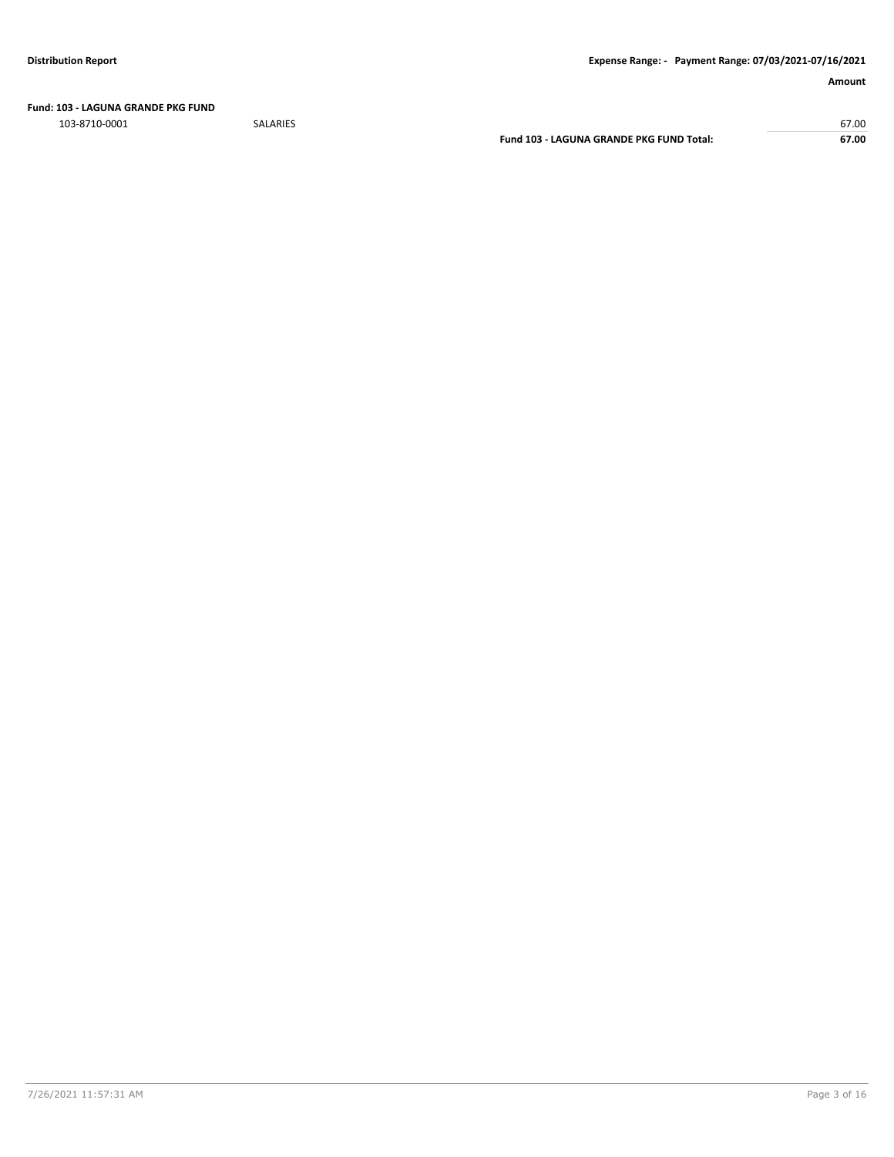**Fund: 103 - LAGUNA GRANDE PKG FUND**

103-8710-0001 SALARIES 67.00 **Fund 103 - LAGUNA GRANDE PKG FUND Total: 67.00**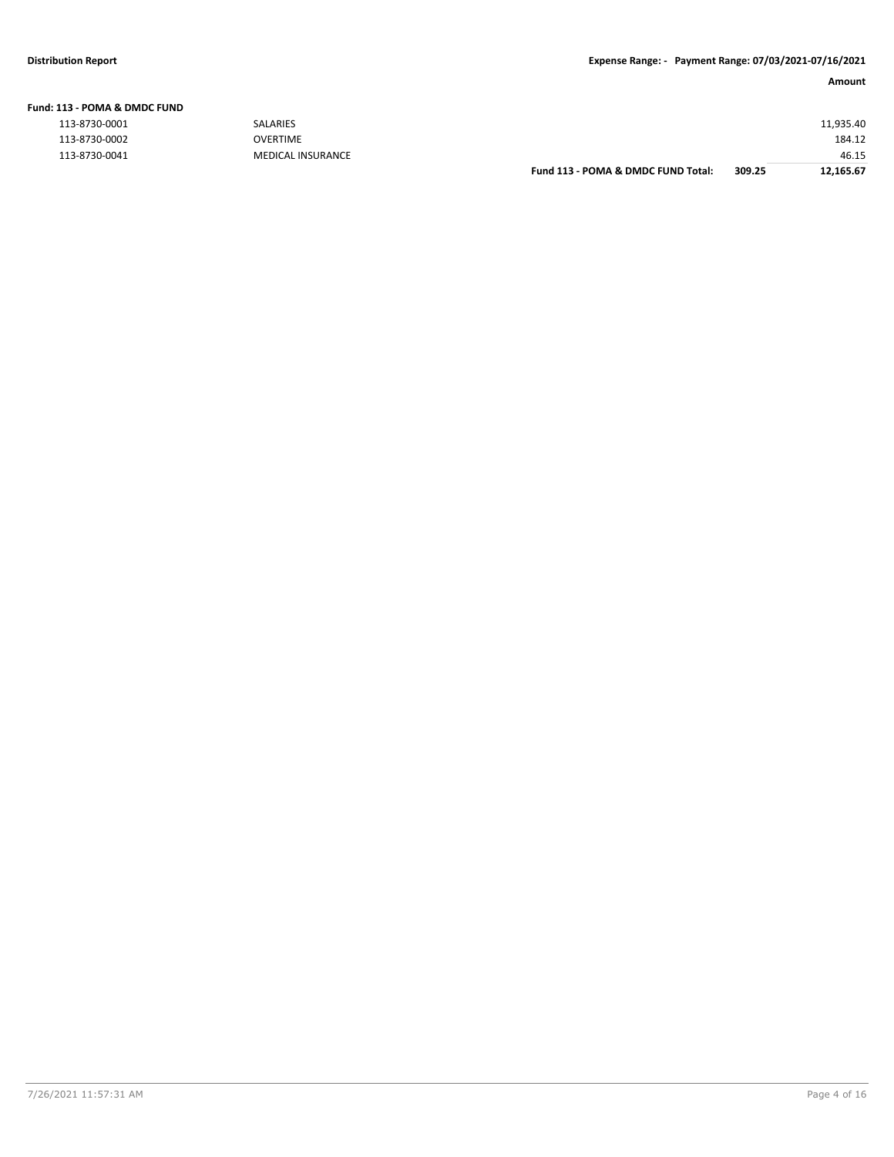**Fund: 113 - POMA & DMDC FUND**

| NSURANCE |  |  |
|----------|--|--|
|          |  |  |

| .             |                          |                                    |        |           |
|---------------|--------------------------|------------------------------------|--------|-----------|
| 113-8730-0001 | <b>SALARIES</b>          |                                    |        | 11,935.40 |
| 113-8730-0002 | <b>OVERTIME</b>          |                                    |        | 184.12    |
| 113-8730-0041 | <b>MEDICAL INSURANCE</b> |                                    |        | 46.15     |
|               |                          | Fund 113 - POMA & DMDC FUND Total: | 309.25 | 12,165.67 |
|               |                          |                                    |        |           |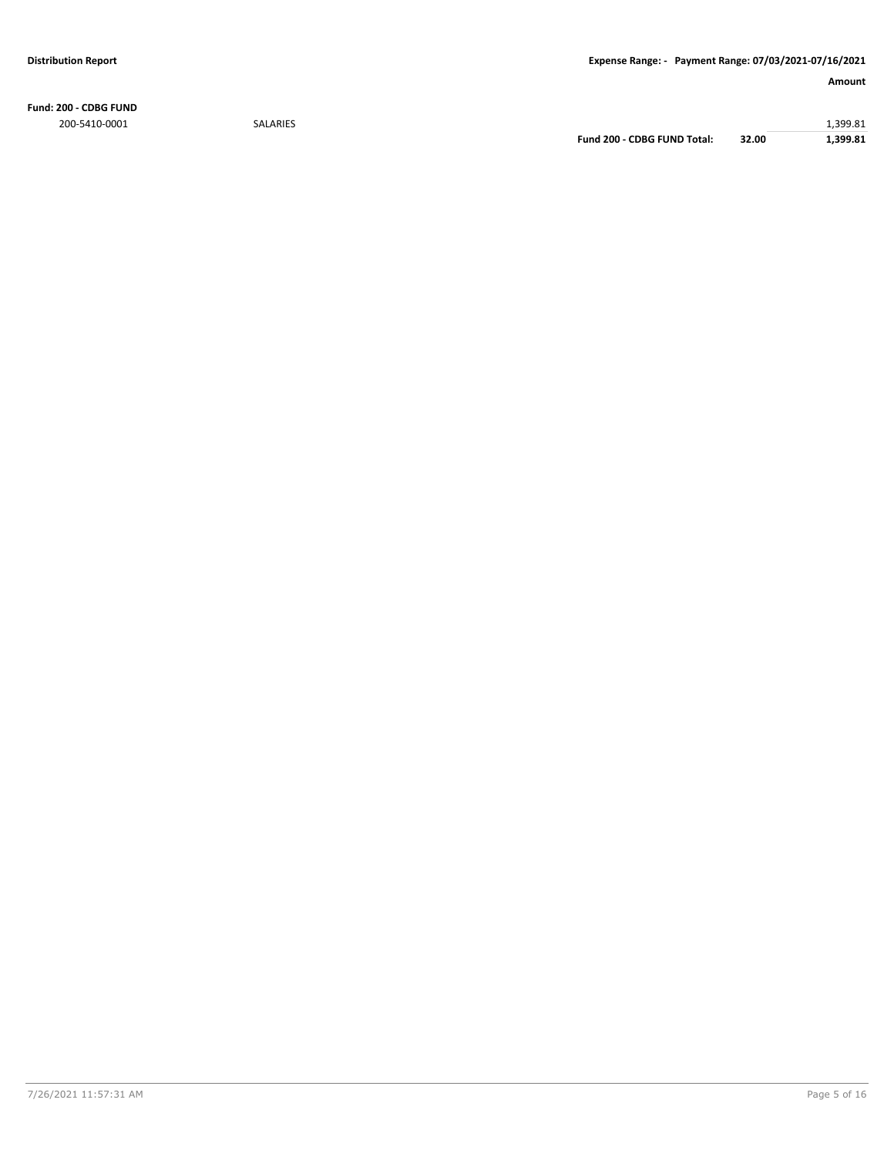**Fund: 200 - CDBG FUND** 200-5410-0001 SALARIES 1,399.81

**Fund 200 - CDBG FUND Total: 32.00 1,399.81**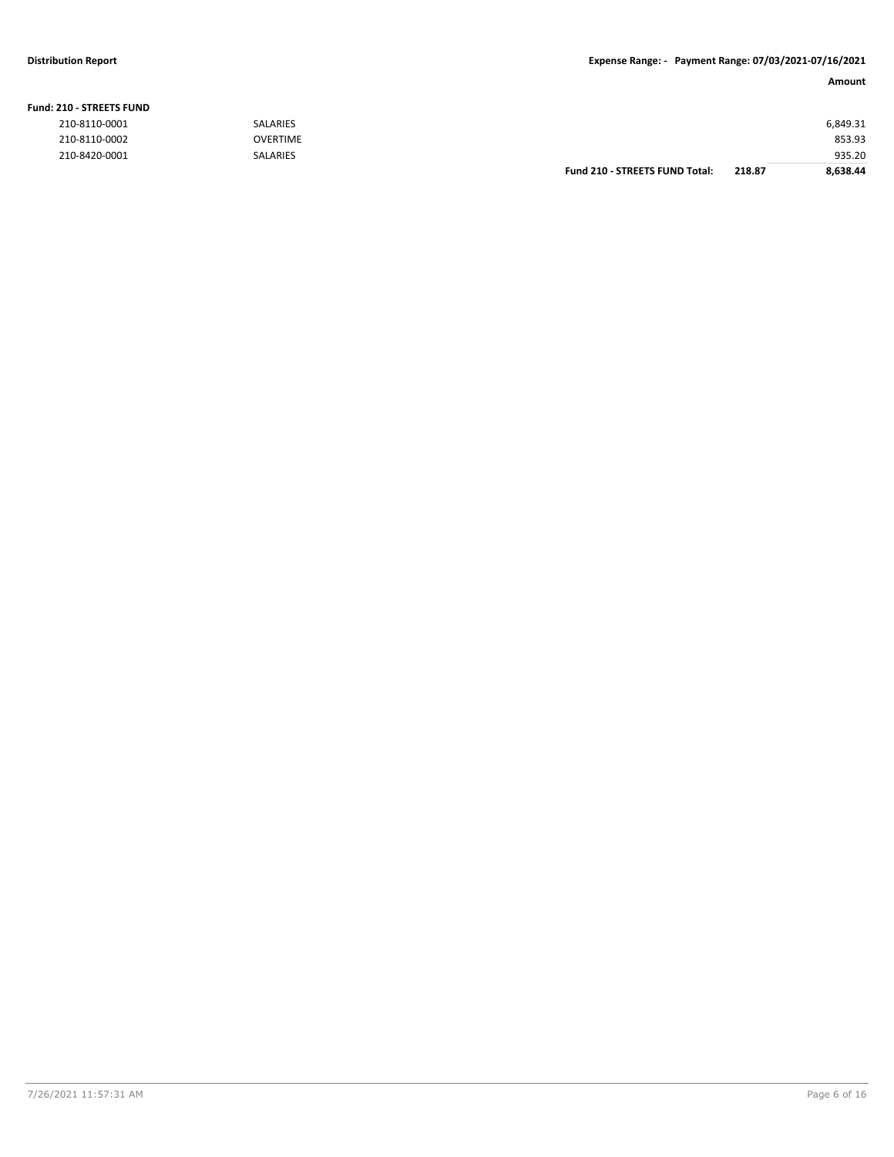#### **Fund: 210 - STREETS FUND**

| 210-8110-0001 | <b>SALARIES</b> |                                       |        | 6,849.31 |
|---------------|-----------------|---------------------------------------|--------|----------|
| 210-8110-0002 | <b>OVERTIME</b> |                                       |        | 853.93   |
| 210-8420-0001 | <b>SALARIES</b> |                                       |        | 935.20   |
|               |                 | <b>Fund 210 - STREETS FUND Total:</b> | 218.87 | 8.638.44 |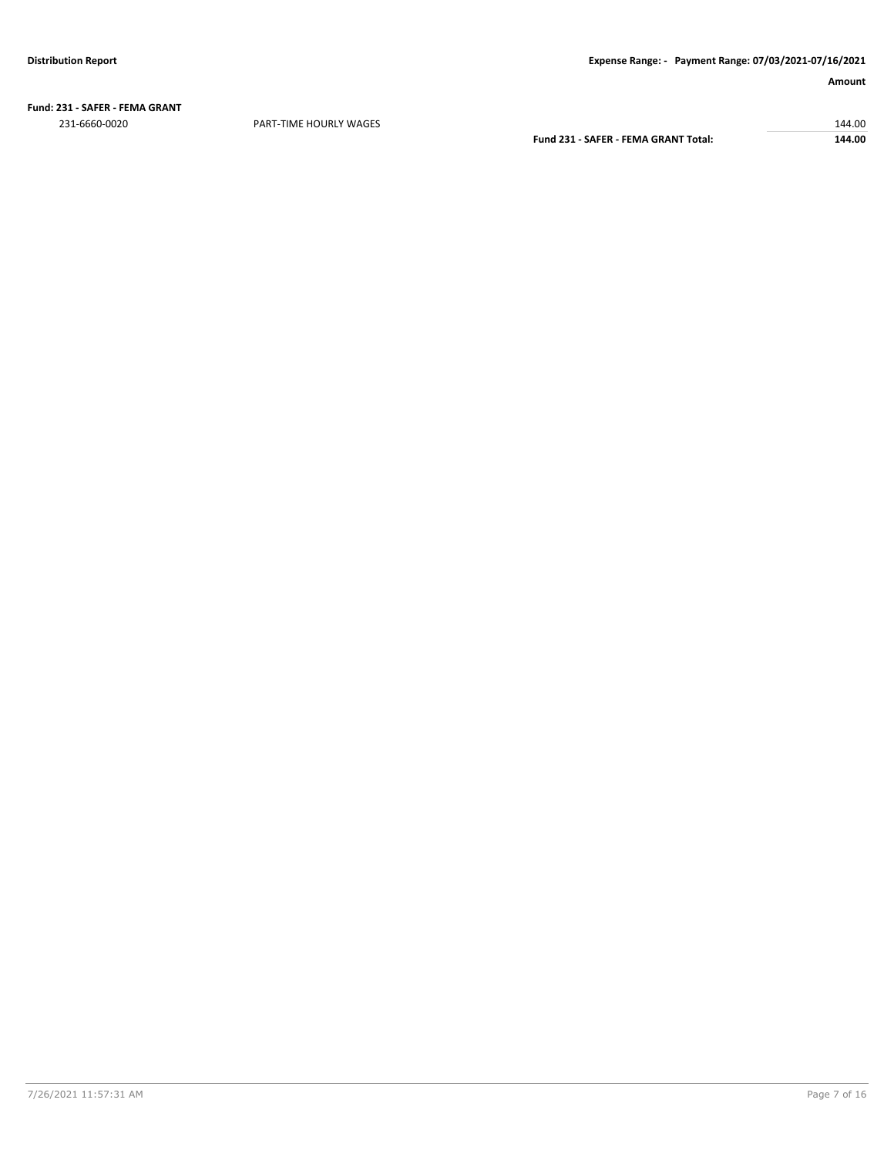**Fund: 231 - SAFER - FEMA GRANT** 231-6660-0020 PART-TIME HOURLY WAGES 144.00

**Fund 231 - SAFER - FEMA GRANT Total: 144.00**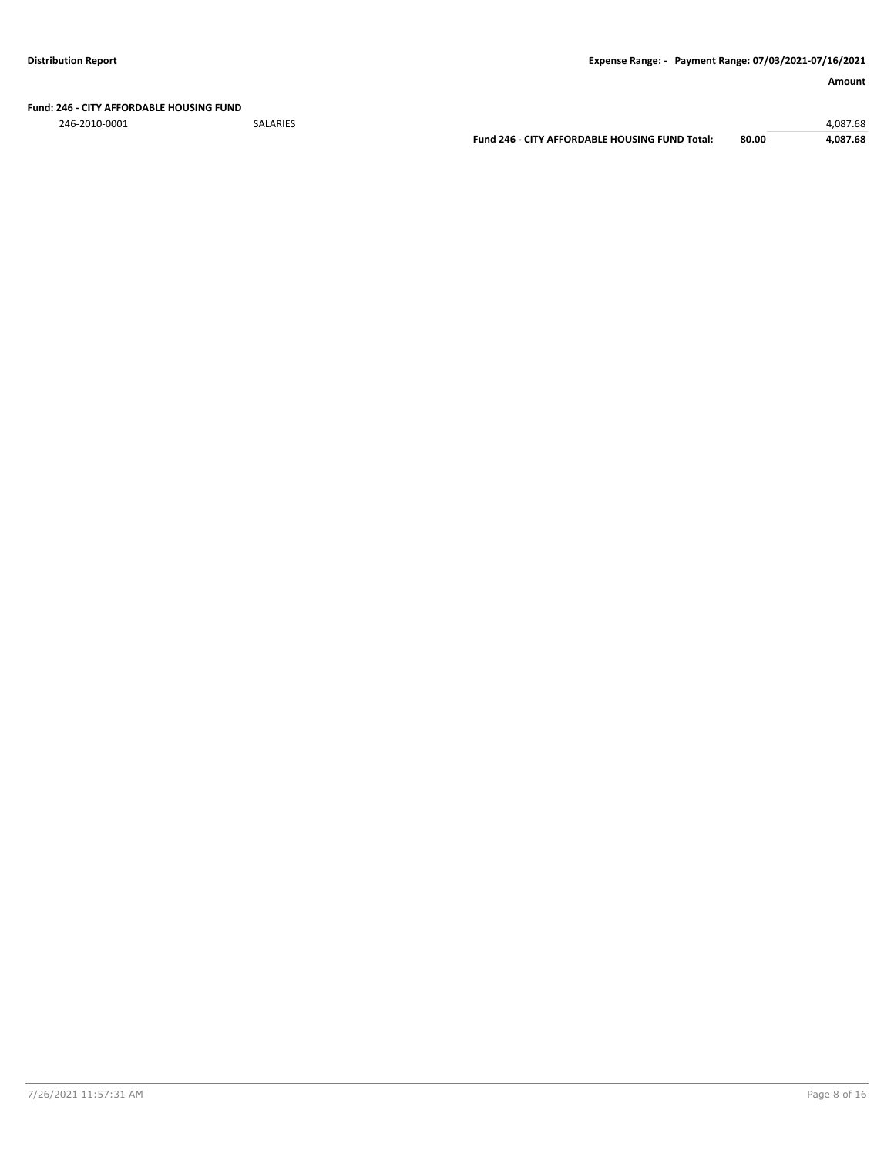**Fund: 246 - CITY AFFORDABLE HOUSING FUND**

246-2010-0001 SALARIES 4,087.68

**Fund 246 - CITY AFFORDABLE HOUSING FUND Total: 80.00 4,087.68**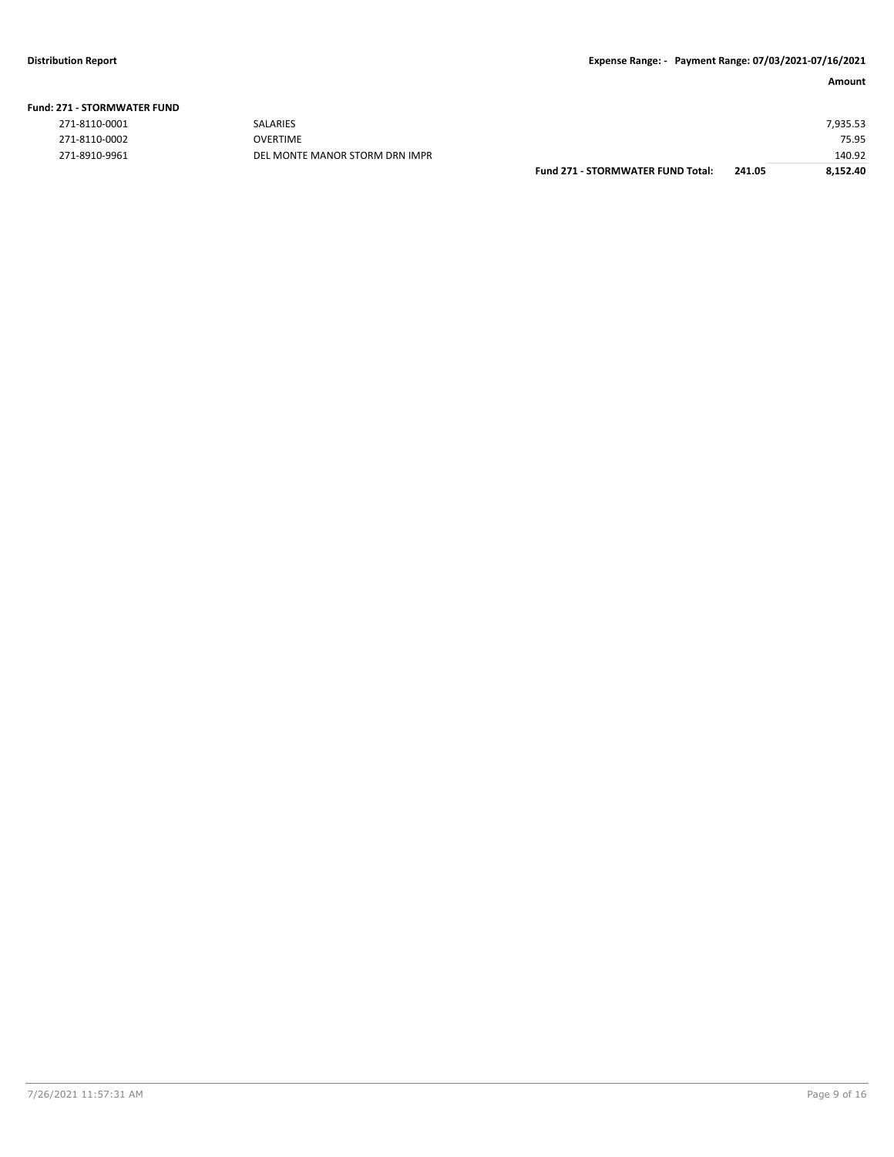|  |  | <b>Fund: 271 - STORMWATER FUND</b> |  |  |
|--|--|------------------------------------|--|--|
|--|--|------------------------------------|--|--|

| 271-8110-0001 |  |
|---------------|--|
| 271-8110-0002 |  |
| 271-8910-9961 |  |

271-8910-9961 DEL MONTE MANOR STORM DRN IMPR

|               |                                | <b>Fund 271 - STORMWATER FUND Total:</b> | 241.05 | 8.152.40 |
|---------------|--------------------------------|------------------------------------------|--------|----------|
| 271-8910-9961 | DEL MONTE MANOR STORM DRN IMPR |                                          |        | 140.92   |
| 271-8110-0002 | <b>OVERTIME</b>                |                                          |        | 75.95    |
| 271-8110-0001 | <b>SALARIES</b>                |                                          |        | 7.935.53 |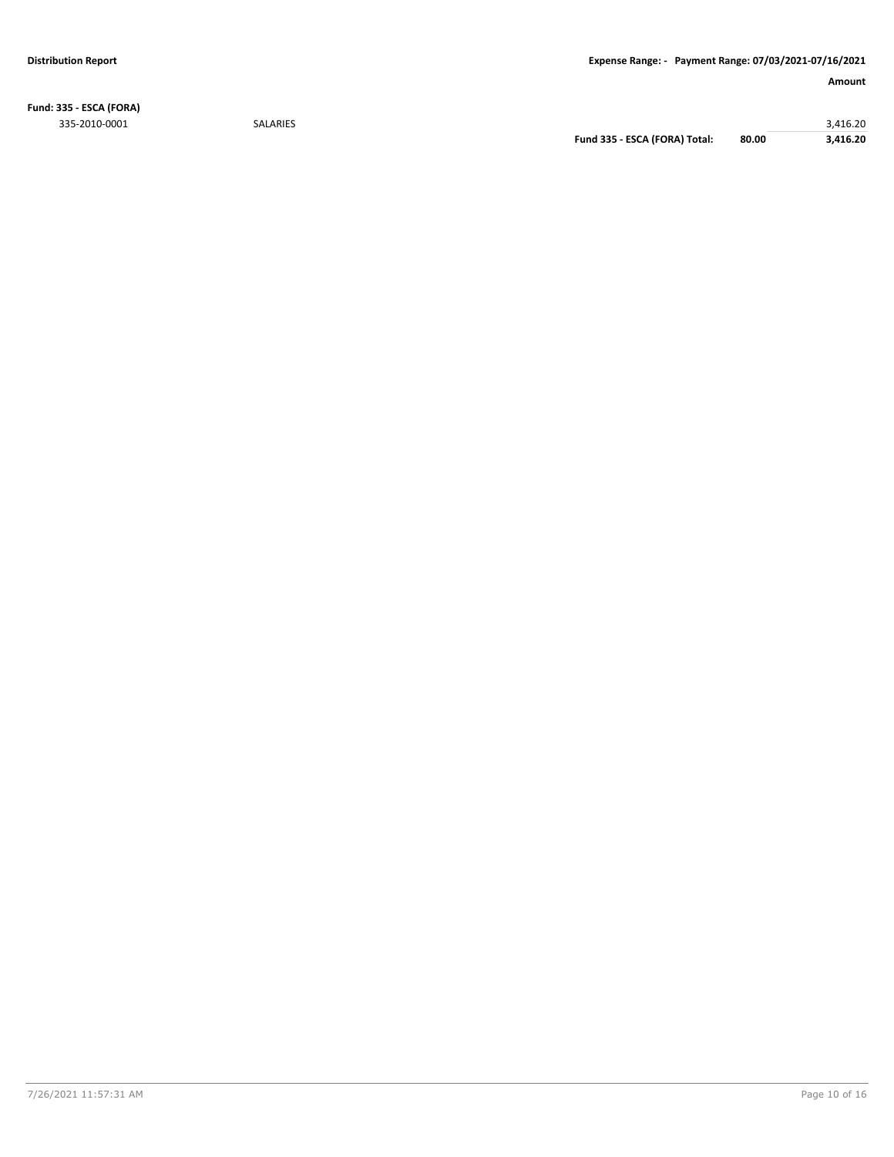**Fund: 335 - ESCA (FORA)** 335-2010-0001 SALARIES 3,416.20

**Fund 335 - ESCA (FORA) Total: 80.00 3,416.20**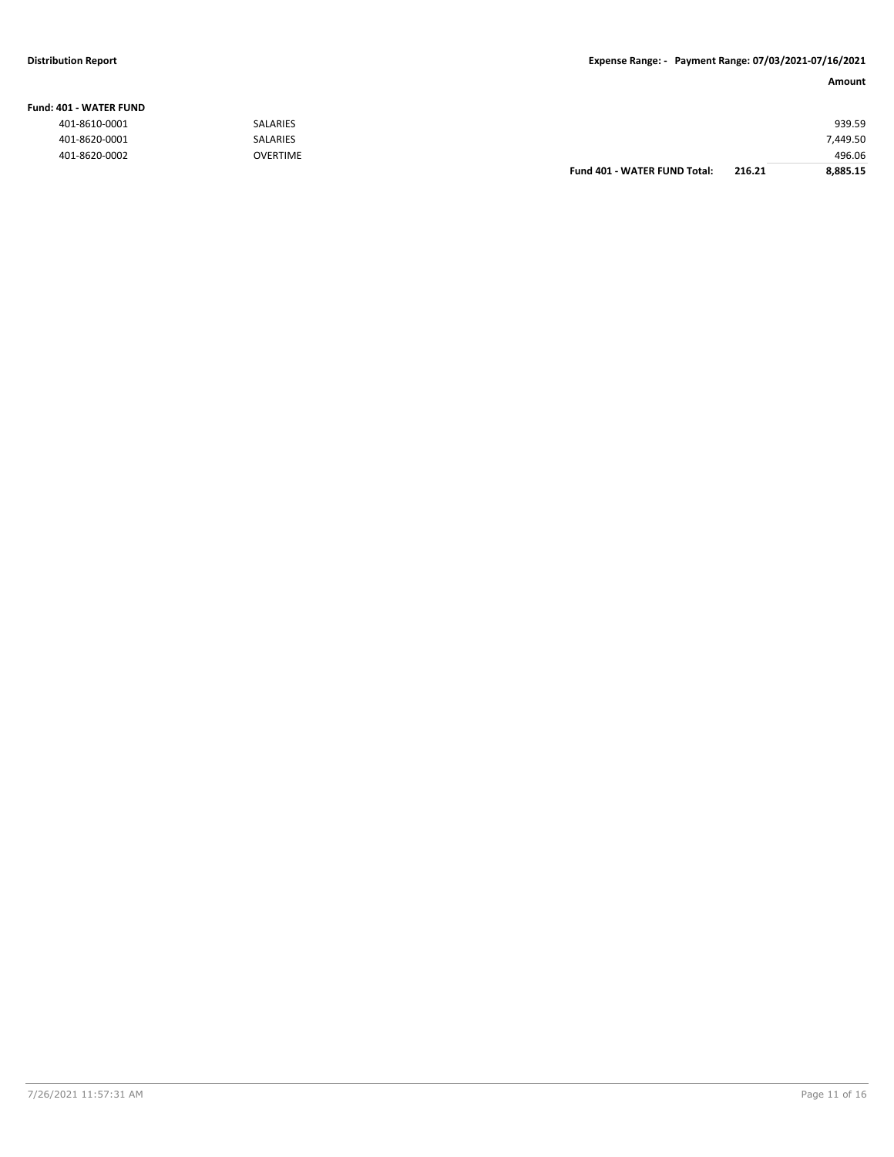#### **Fund: 401 - WATER FUND**

| ------------  |                 |                              |        |          |
|---------------|-----------------|------------------------------|--------|----------|
| 401-8610-0001 | <b>SALARIES</b> |                              |        | 939.59   |
| 401-8620-0001 | <b>SALARIES</b> |                              |        | 7,449.50 |
| 401-8620-0002 | <b>OVERTIME</b> |                              |        | 496.06   |
|               |                 | Fund 401 - WATER FUND Total: | 216.21 | 8,885.15 |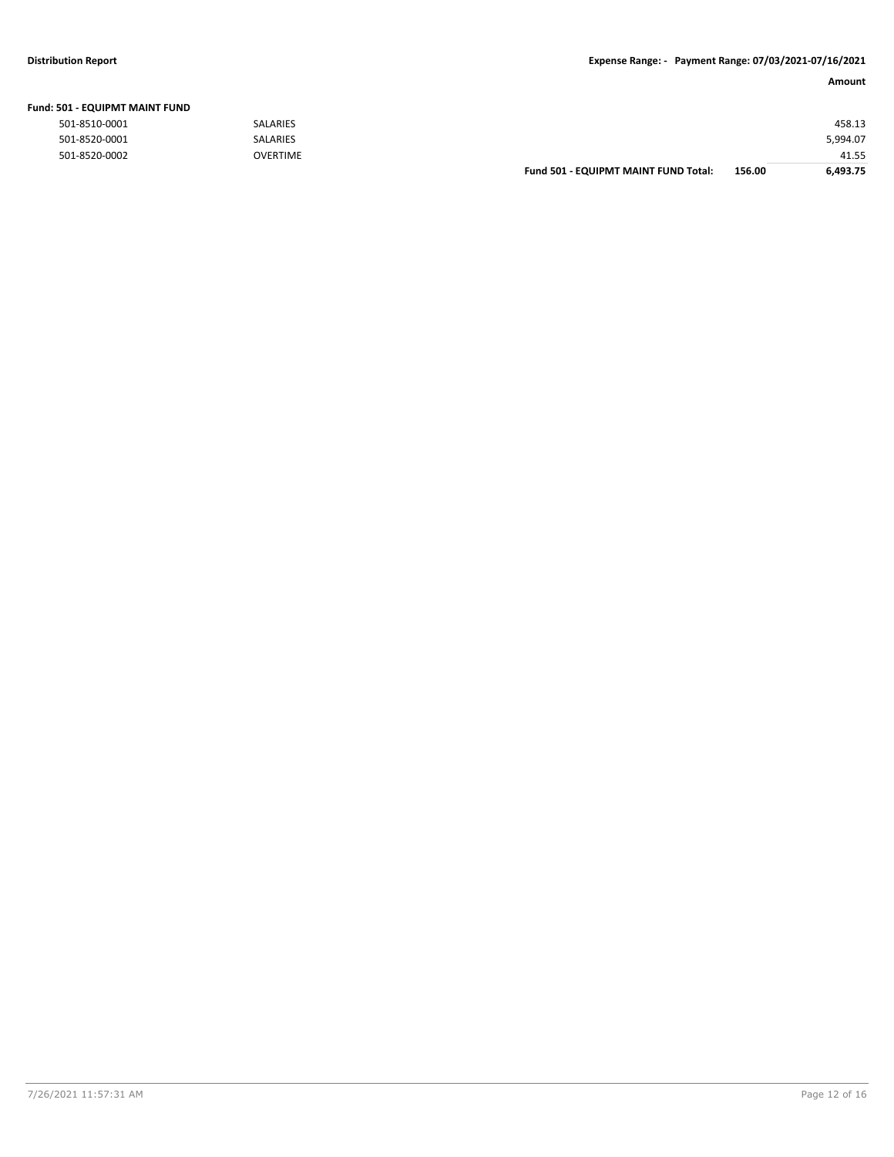#### **Distribution Report Expense Range: - Payment Range: 07/03/2021-07/16/2021**

| Fund: 501 - EQUIPMT MAINT FUND |                 |                                      |        |          |
|--------------------------------|-----------------|--------------------------------------|--------|----------|
| 501-8510-0001                  | <b>SALARIES</b> |                                      |        | 458.13   |
| 501-8520-0001                  | <b>SALARIES</b> |                                      |        | 5,994.07 |
| 501-8520-0002                  | <b>OVERTIME</b> |                                      |        | 41.55    |
|                                |                 | Fund 501 - EQUIPMT MAINT FUND Total: | 156.00 | 6.493.75 |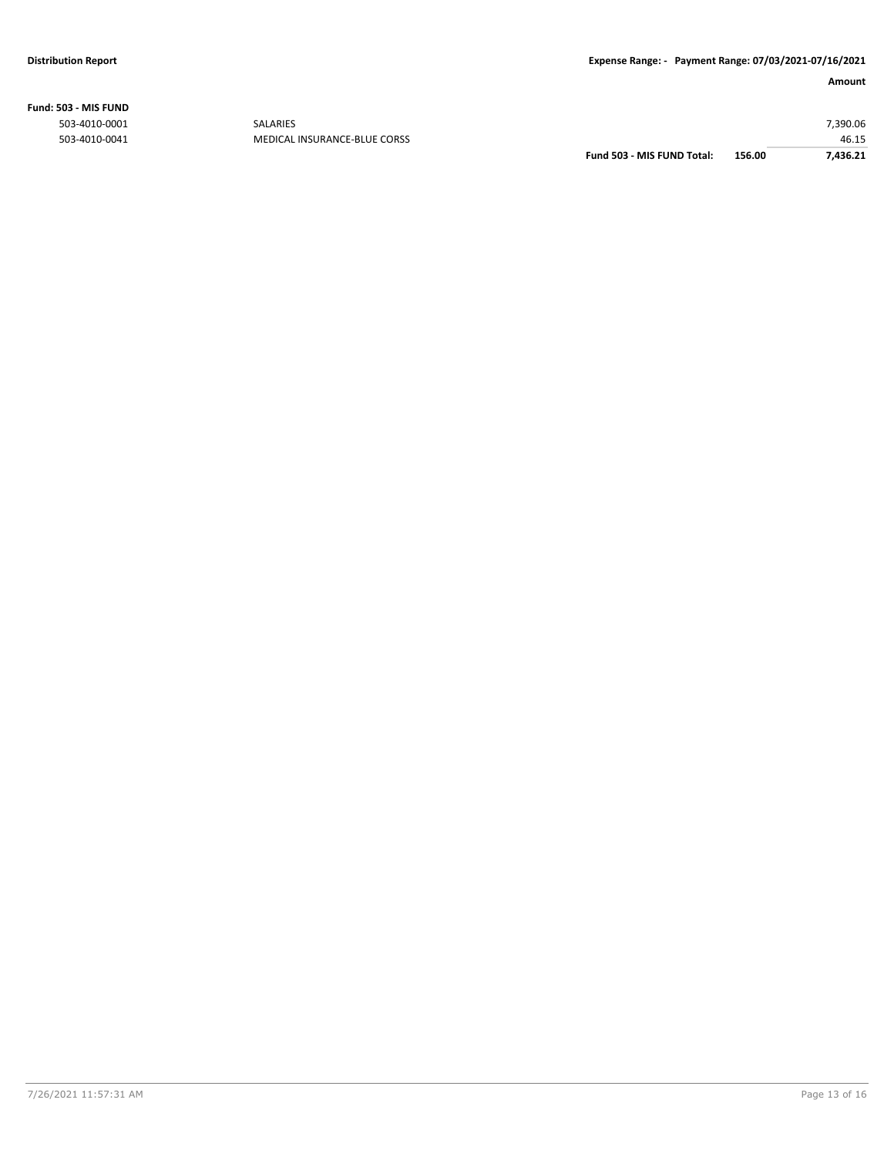**Fund: 503 - MIS FUND**

| 7.436.21 |
|----------|
| 46.15    |
| 7,390.06 |
|          |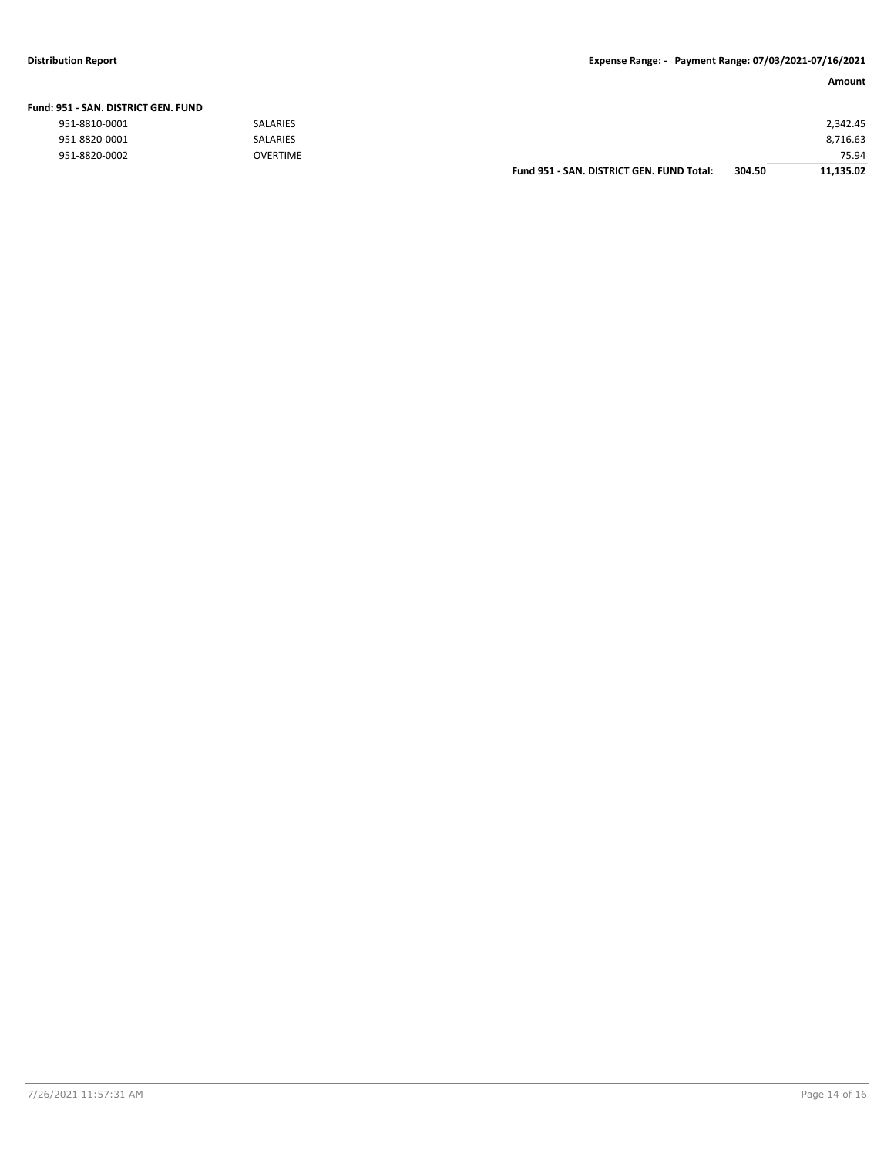#### **Distribution Report Expense Range: - Payment Range: 07/03/2021-07/16/2021**

| Fund: 951 - SAN. DISTRICT GEN. FUND |                 |                                           |        |           |
|-------------------------------------|-----------------|-------------------------------------------|--------|-----------|
| 951-8810-0001                       | <b>SALARIES</b> |                                           |        | 2,342.45  |
| 951-8820-0001                       | SALARIES        |                                           |        | 8,716.63  |
| 951-8820-0002                       | <b>OVERTIME</b> |                                           |        | 75.94     |
|                                     |                 | Fund 951 - SAN, DISTRICT GEN, FUND Total: | 304.50 | 11.135.02 |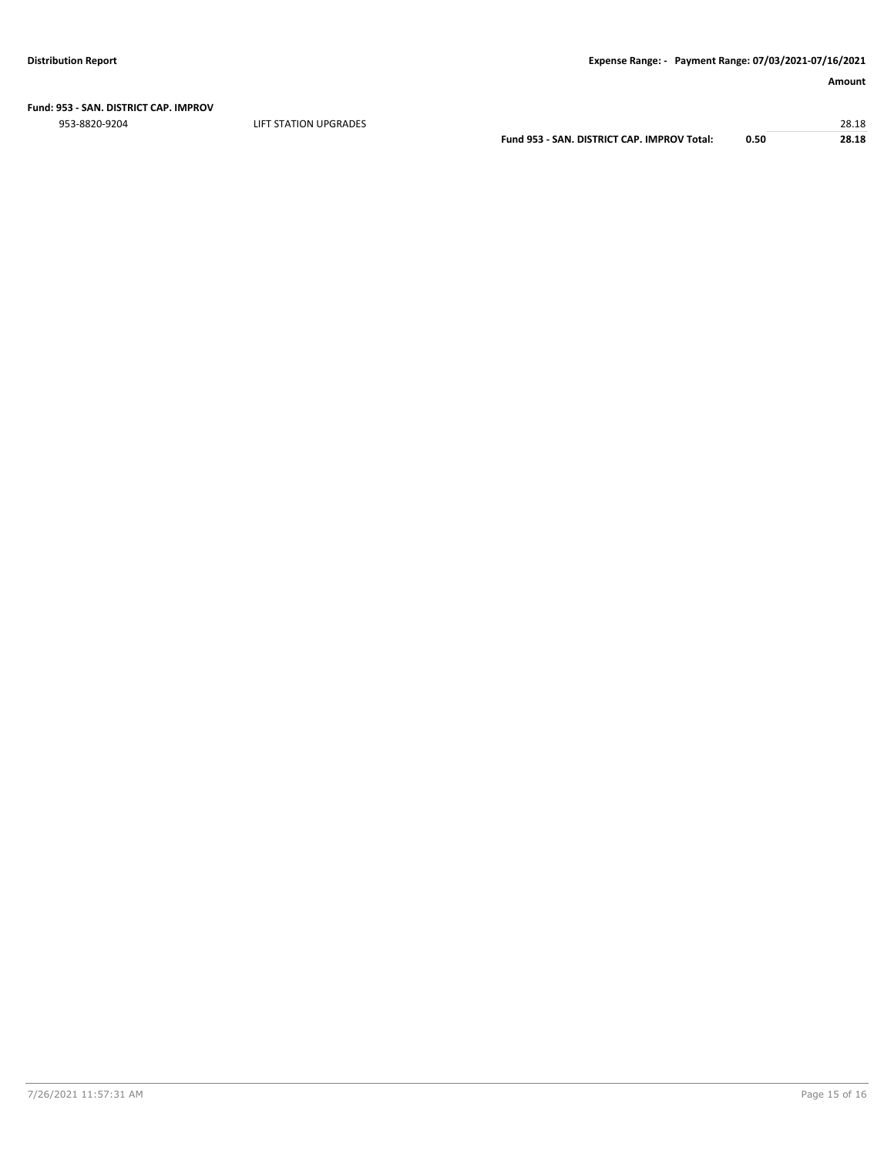**Fund: 953 - SAN. DISTRICT CAP. IMPROV**

953-8820-9204 LIFT STATION UPGRADES 28.18

**Fund 953 - SAN. DISTRICT CAP. IMPROV Total: 0.50 28.18**